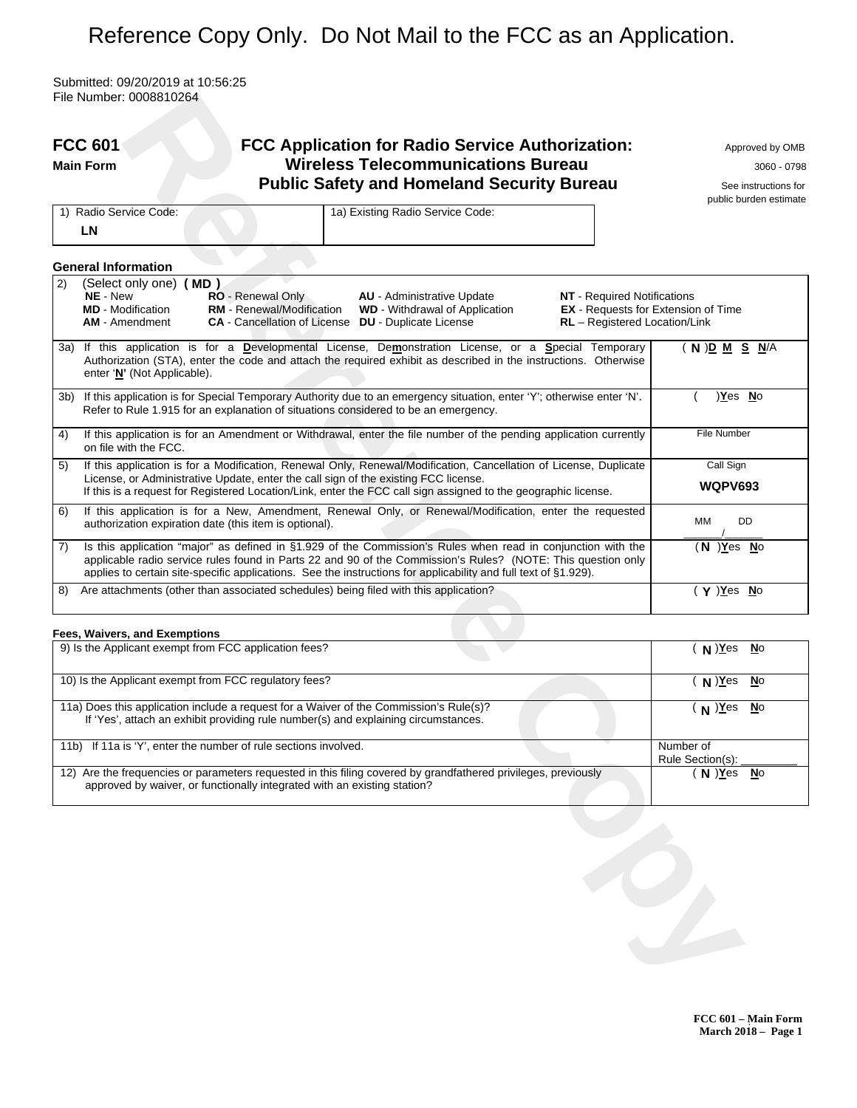# Reference Copy Only. Do Not Mail to the FCC as an Application.

Submitted: 09/20/2019 at 10:56:25 File Number: 0008810264

|     | <b>FCC 601</b><br><b>FCC Application for Radio Service Authorization:</b><br><b>Wireless Telecommunications Bureau</b><br><b>Main Form</b><br><b>Public Safety and Homeland Security Bureau</b>                                                                                                                                                                                                                   | Approved by OMB<br>3060 - 0798<br>See instructions for<br>public burden estimate |
|-----|-------------------------------------------------------------------------------------------------------------------------------------------------------------------------------------------------------------------------------------------------------------------------------------------------------------------------------------------------------------------------------------------------------------------|----------------------------------------------------------------------------------|
|     | 1a) Existing Radio Service Code:<br>1) Radio Service Code:<br>LN                                                                                                                                                                                                                                                                                                                                                  |                                                                                  |
|     | <b>General Information</b>                                                                                                                                                                                                                                                                                                                                                                                        |                                                                                  |
| 2)  | (Select only one) (MD)<br>NE - New<br>RO - Renewal Only<br><b>NT</b> - Required Notifications<br><b>AU</b> - Administrative Update<br>RM - Renewal/Modification<br><b>MD</b> - Modification<br><b>WD</b> - Withdrawal of Application<br><b>EX</b> - Requests for Extension of Time<br><b>AM</b> - Amendment<br><b>CA</b> - Cancellation of License <b>DU</b> - Duplicate License<br>RL - Registered Location/Link |                                                                                  |
|     | 3a) If this application is for a Developmental License, Demonstration License, or a Special Temporary<br>Authorization (STA), enter the code and attach the required exhibit as described in the instructions. Otherwise<br>enter 'N' (Not Applicable).                                                                                                                                                           | ( N ) <u>D M S N</u> /A                                                          |
| 3b) | If this application is for Special Temporary Authority due to an emergency situation, enter 'Y'; otherwise enter 'N'.<br>Refer to Rule 1.915 for an explanation of situations considered to be an emergency.                                                                                                                                                                                                      | )Yes No                                                                          |
| 4)  | If this application is for an Amendment or Withdrawal, enter the file number of the pending application currently<br>on file with the FCC.                                                                                                                                                                                                                                                                        | File Number                                                                      |
| 5)  | If this application is for a Modification, Renewal Only, Renewal/Modification, Cancellation of License, Duplicate<br>License, or Administrative Update, enter the call sign of the existing FCC license.<br>If this is a request for Registered Location/Link, enter the FCC call sign assigned to the geographic license.                                                                                        | Call Sign<br><b>WQPV693</b>                                                      |
| 6)  | If this application is for a New, Amendment, Renewal Only, or Renewal/Modification, enter the requested<br>authorization expiration date (this item is optional).                                                                                                                                                                                                                                                 | DD<br>MМ                                                                         |
| 7)  | Is this application "major" as defined in §1.929 of the Commission's Rules when read in conjunction with the<br>applicable radio service rules found in Parts 22 and 90 of the Commission's Rules? (NOTE: This question only<br>applies to certain site-specific applications. See the instructions for applicability and full text of §1.929).                                                                   | (N ) <u>Y</u> es <u>N</u> o                                                      |
| 8)  | Are attachments (other than associated schedules) being filed with this application?                                                                                                                                                                                                                                                                                                                              | $( Y )$ Yes No                                                                   |
|     | Fees, Waivers, and Exemptions                                                                                                                                                                                                                                                                                                                                                                                     |                                                                                  |
|     | 9) Is the Applicant exempt from FCC application fees?                                                                                                                                                                                                                                                                                                                                                             | $(N)$ Yes<br>$\underline{\mathsf{N}}$ o                                          |
|     | 10) Is the Applicant exempt from FCC regulatory fees?                                                                                                                                                                                                                                                                                                                                                             | $(N)$ Yes<br>No                                                                  |
|     | 11a) Does this application include a request for a Waiver of the Commission's Rule(s)?<br>If 'Yes', attach an exhibit providing rule number(s) and explaining circumstances.                                                                                                                                                                                                                                      | $(N)$ $Yes$<br>$\underline{\mathsf{N}}$ o                                        |
|     | 11b) If 11a is 'Y', enter the number of rule sections involved.                                                                                                                                                                                                                                                                                                                                                   | Number of<br>Rule Section(s):                                                    |
|     | 12) Are the frequencies or parameters requested in this filing covered by grandfathered privileges, previously<br>approved by waiver, or functionally integrated with an existing station?                                                                                                                                                                                                                        | $(N)$ Yes<br>$\underline{\mathsf{N}}\mathrm{o}$                                  |
|     |                                                                                                                                                                                                                                                                                                                                                                                                                   |                                                                                  |

| 9) Is the Applicant exempt from FCC application fees?                                                                                                                                      | N ) <u>Y</u> es <u>N</u> o    |
|--------------------------------------------------------------------------------------------------------------------------------------------------------------------------------------------|-------------------------------|
| 10) Is the Applicant exempt from FCC regulatory fees?                                                                                                                                      | $N$ ) Yes No                  |
| 11a) Does this application include a request for a Waiver of the Commission's Rule(s)?<br>If 'Yes', attach an exhibit providing rule number(s) and explaining circumstances.               | (N)Yes <u>N</u> o             |
| 11b) If 11a is 'Y', enter the number of rule sections involved.                                                                                                                            | Number of<br>Rule Section(s): |
| 12) Are the frequencies or parameters requested in this filing covered by grandfathered privileges, previously<br>approved by waiver, or functionally integrated with an existing station? | N ) Yes No                    |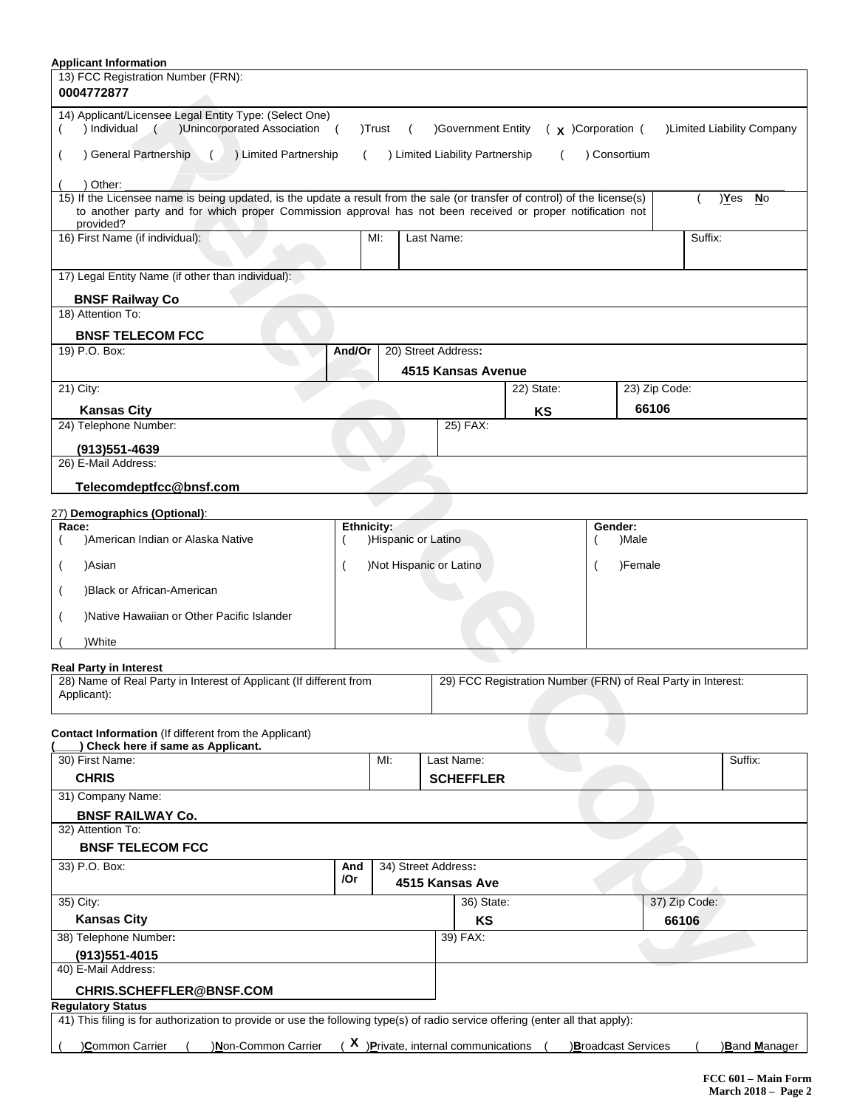| 0004772877                                                                                                                         |            |        |                                        |                    |                                                              |              |               |               |                            |
|------------------------------------------------------------------------------------------------------------------------------------|------------|--------|----------------------------------------|--------------------|--------------------------------------------------------------|--------------|---------------|---------------|----------------------------|
| 14) Applicant/Licensee Legal Entity Type: (Select One)<br>) Individual (<br>)Unincorporated Association (                          |            | )Trust |                                        | )Government Entity | $(x)$ Corporation (                                          |              |               |               | )Limited Liability Company |
| ) General Partnership<br>( ) Limited Partnership                                                                                   |            |        | ) Limited Liability Partnership        |                    |                                                              | ) Consortium |               |               |                            |
| ) Other:                                                                                                                           |            |        |                                        |                    |                                                              |              |               |               |                            |
| 15) If the Licensee name is being updated, is the update a result from the sale (or transfer of control) of the license(s)         |            |        |                                        |                    |                                                              |              |               |               | )Yes No                    |
| to another party and for which proper Commission approval has not been received or proper notification not<br>provided?            |            |        |                                        |                    |                                                              |              |               |               |                            |
| 16) First Name (if individual):                                                                                                    |            | MI:    | Last Name:                             |                    |                                                              |              |               | Suffix:       |                            |
| 17) Legal Entity Name (if other than individual):                                                                                  |            |        |                                        |                    |                                                              |              |               |               |                            |
| <b>BNSF Railway Co</b><br>18) Attention To:                                                                                        |            |        |                                        |                    |                                                              |              |               |               |                            |
| <b>BNSF TELECOM FCC</b>                                                                                                            |            |        |                                        |                    |                                                              |              |               |               |                            |
| 19) P.O. Box:                                                                                                                      | And/Or     |        | 20) Street Address:                    |                    |                                                              |              |               |               |                            |
|                                                                                                                                    |            |        | 4515 Kansas Avenue                     |                    |                                                              |              |               |               |                            |
| 21) City:                                                                                                                          |            |        |                                        |                    | 22) State:                                                   |              | 23) Zip Code: |               |                            |
| <b>Kansas City</b>                                                                                                                 |            |        |                                        |                    | KS                                                           |              | 66106         |               |                            |
| 24) Telephone Number:                                                                                                              |            |        |                                        | 25) FAX:           |                                                              |              |               |               |                            |
| $(913)551 - 4639$                                                                                                                  |            |        |                                        |                    |                                                              |              |               |               |                            |
| 26) E-Mail Address:                                                                                                                |            |        |                                        |                    |                                                              |              |               |               |                            |
| Telecomdeptfcc@bnsf.com                                                                                                            |            |        |                                        |                    |                                                              |              |               |               |                            |
| 27) Demographics (Optional):                                                                                                       |            |        |                                        |                    |                                                              |              |               |               |                            |
| Race:                                                                                                                              | Ethnicity: |        |                                        |                    |                                                              | Gender:      |               |               |                            |
| )American Indian or Alaska Native                                                                                                  |            |        | )Hispanic or Latino                    |                    |                                                              |              | )Male         |               |                            |
| )Asian                                                                                                                             |            |        | )Not Hispanic or Latino                |                    |                                                              |              | )Female       |               |                            |
|                                                                                                                                    |            |        |                                        |                    |                                                              |              |               |               |                            |
| )Black or African-American                                                                                                         |            |        |                                        |                    |                                                              |              |               |               |                            |
|                                                                                                                                    |            |        |                                        |                    |                                                              |              |               |               |                            |
| )Native Hawaiian or Other Pacific Islander                                                                                         |            |        |                                        |                    |                                                              |              |               |               |                            |
| )White                                                                                                                             |            |        |                                        |                    |                                                              |              |               |               |                            |
| <b>Real Party in Interest</b><br>28) Name of Real Party in Interest of Applicant (If different from<br>Applicant):                 |            |        |                                        |                    | 29) FCC Registration Number (FRN) of Real Party in Interest: |              |               |               |                            |
|                                                                                                                                    |            |        |                                        |                    |                                                              |              |               |               |                            |
|                                                                                                                                    |            |        |                                        |                    |                                                              |              |               |               |                            |
| Check here if same as Applicant.                                                                                                   |            | MI:    |                                        | Last Name:         |                                                              |              |               |               | Suffix:                    |
| <b>CHRIS</b>                                                                                                                       |            |        |                                        | <b>SCHEFFLER</b>   |                                                              |              |               |               |                            |
| Contact Information (If different from the Applicant)<br>30) First Name:<br>31) Company Name:                                      |            |        |                                        |                    |                                                              |              |               |               |                            |
| <b>BNSF RAILWAY Co.</b>                                                                                                            |            |        |                                        |                    |                                                              |              |               |               |                            |
|                                                                                                                                    |            |        |                                        |                    |                                                              |              |               |               |                            |
| <b>BNSF TELECOM FCC</b>                                                                                                            |            |        |                                        |                    |                                                              |              |               |               |                            |
|                                                                                                                                    | And<br>/Or |        | 34) Street Address:<br>4515 Kansas Ave |                    |                                                              |              |               |               |                            |
|                                                                                                                                    |            |        |                                        | 36) State:         |                                                              |              |               | 37) Zip Code: |                            |
| <b>Kansas City</b>                                                                                                                 |            |        |                                        | KS                 |                                                              |              |               | 66106         |                            |
|                                                                                                                                    |            |        |                                        | 39) FAX:           |                                                              |              |               |               |                            |
| $(913)551 - 4015$                                                                                                                  |            |        |                                        |                    |                                                              |              |               |               |                            |
| 32) Attention To:<br>33) P.O. Box:<br>35) City:<br>38) Telephone Number:<br>40) E-Mail Address:<br><b>CHRIS.SCHEFFLER@BNSF.COM</b> |            |        |                                        |                    |                                                              |              |               |               |                            |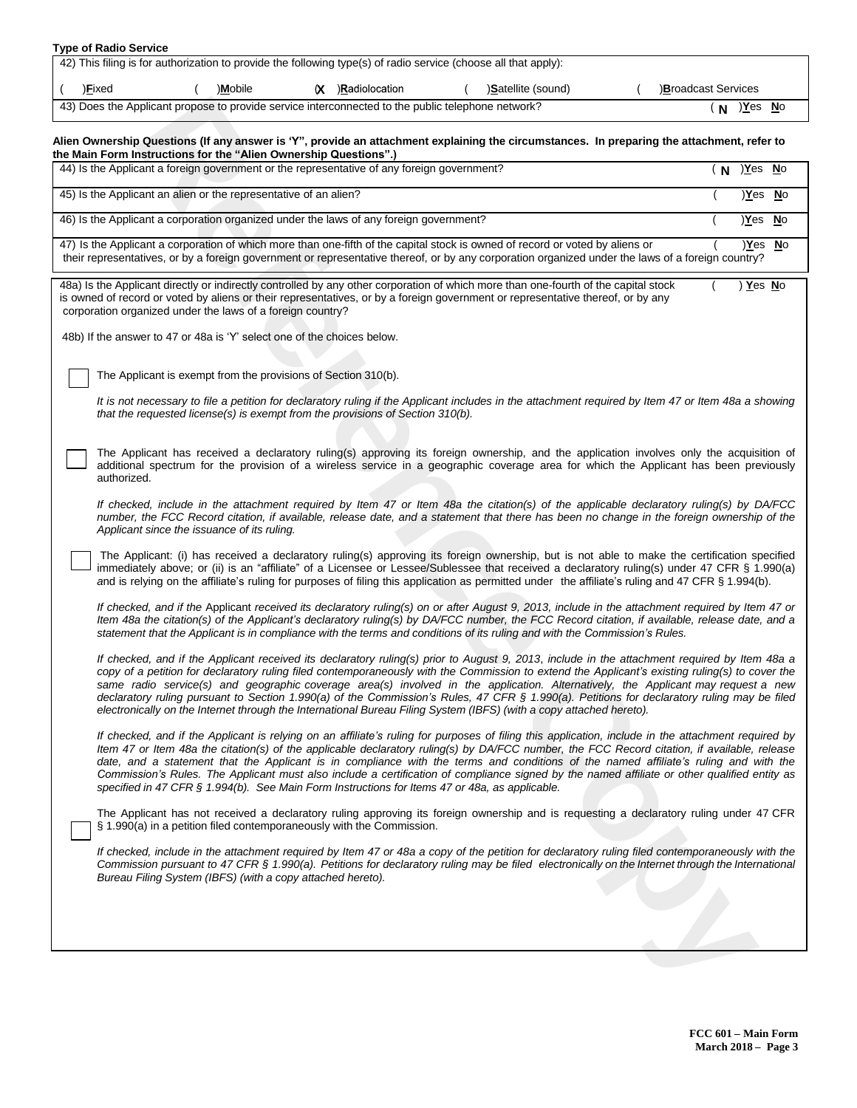| <b>Type of Radio Service</b> |  |
|------------------------------|--|
|------------------------------|--|

| 42) This filing is for authorization to provide the following type(s) of radio service (choose all that apply):                             |  |         |  |                   |  |                    |  |                    |
|---------------------------------------------------------------------------------------------------------------------------------------------|--|---------|--|-------------------|--|--------------------|--|--------------------|
| ) <b>Fixed</b>                                                                                                                              |  | )Mobile |  | (X )Radiolocation |  | )Satellite (sound) |  | Broadcast Services |
| 43) Does the Applicant propose to provide service interconnected to the public telephone network?<br><u>)Y</u> es <u>N</u> o<br>$\mathbf N$ |  |         |  |                   |  |                    |  |                    |

## Alien Ownership Questions (If any answer is 'Y", provide an attachment explaining the circumstances. In preparing the attachment, refer to **the Main Form Instructions for the "Alien Ownership Questions".)**

| Alien Ownership Questions (If any answer is 'Y", provide an attachment explaining the circumstances. In preparing the attachment, refer to<br>the Main Form Instructions for the "Alien Ownership Questions".)<br>44) Is the Applicant a foreign government or the representative of any foreign government?<br>$(N)$ Yes No<br>45) Is the Applicant an alien or the representative of an alien?<br>)Yes No<br>46) Is the Applicant a corporation organized under the laws of any foreign government?<br>)Yes No<br>47) Is the Applicant a corporation of which more than one-fifth of the capital stock is owned of record or voted by aliens or<br>Yes<br><b>No</b><br>their representatives, or by a foreign government or representative thereof, or by any corporation organized under the laws of a foreign country?<br>48a) Is the Applicant directly or indirectly controlled by any other corporation of which more than one-fourth of the capital stock<br>) Yes No<br>is owned of record or voted by aliens or their representatives, or by a foreign government or representative thereof, or by any<br>corporation organized under the laws of a foreign country?<br>48b) If the answer to 47 or 48a is 'Y' select one of the choices below.<br>The Applicant is exempt from the provisions of Section 310(b).<br>It is not necessary to file a petition for declaratory ruling if the Applicant includes in the attachment required by Item 47 or Item 48a a showing<br>that the requested license(s) is exempt from the provisions of Section 310(b).<br>The Applicant has received a declaratory ruling(s) approving its foreign ownership, and the application involves only the acquisition of<br>additional spectrum for the provision of a wireless service in a geographic coverage area for which the Applicant has been previously<br>authorized.<br>If checked, include in the attachment required by Item 47 or Item 48a the citation(s) of the applicable declaratory ruling(s) by DA/FCC<br>number, the FCC Record citation, if available, release date, and a statement that there has been no change in the foreign ownership of the<br>Applicant since the issuance of its ruling.<br>The Applicant: (i) has received a declaratory ruling(s) approving its foreign ownership, but is not able to make the certification specified<br>immediately above; or (ii) is an "affiliate" of a Licensee or Lessee/Sublessee that received a declaratory ruling(s) under 47 CFR § 1.990(a)<br>and is relying on the affiliate's ruling for purposes of filing this application as permitted under the affiliate's ruling and 47 CFR § 1.994(b).<br>If checked, and if the Applicant received its declaratory ruling(s) on or after August 9, 2013, include in the attachment required by Item 47 or<br>Item 48a the citation(s) of the Applicant's declaratory ruling(s) by DA/FCC number, the FCC Record citation, if available, release date, and a<br>statement that the Applicant is in compliance with the terms and conditions of its ruling and with the Commission's Rules.<br>If checked, and if the Applicant received its declaratory ruling(s) prior to August 9, 2013, include in the attachment required by Item 48a a<br>copy of a petition for declaratory ruling filed contemporaneously with the Commission to extend the Applicant's existing ruling(s) to cover the<br>same radio service(s) and geographic coverage area(s) involved in the application. Alternatively, the Applicant may request a new<br>declaratory ruling pursuant to Section 1.990(a) of the Commission's Rules, 47 CFR § 1.990(a). Petitions for declaratory ruling may be filed<br>electronically on the Internet through the International Bureau Filing System (IBFS) (with a copy attached hereto).<br>If checked, and if the Applicant is relying on an affiliate's ruling for purposes of filing this application, include in the attachment required by<br>Item 47 or Item 48a the citation(s) of the applicable declaratory ruling(s) by DA/FCC number, the FCC Record citation, if available, release<br>date, and a statement that the Applicant is in compliance with the terms and conditions of the named affiliate's ruling and with the<br>Commission's Rules. The Applicant must also include a certification of compliance signed by the named affiliate or other qualified entity as<br>specified in 47 CFR § 1.994(b). See Main Form Instructions for Items 47 or 48a, as applicable.<br>The Applicant has not received a declaratory ruling approving its foreign ownership and is requesting a declaratory ruling under 47 CFR<br>§ 1.990(a) in a petition filed contemporaneously with the Commission.<br>If checked, include in the attachment required by Item 47 or 48a a copy of the petition for declaratory ruling filed contemporaneously with the<br>Commission pursuant to 47 CFR § 1.990(a). Petitions for declaratory ruling may be filed electronically on the Internet through the International<br>Bureau Filing System (IBFS) (with a copy attached hereto). | 43) Does the Applicant propose to provide service interconnected to the public telephone network? | (N | )Yes No |  |
|--------------------------------------------------------------------------------------------------------------------------------------------------------------------------------------------------------------------------------------------------------------------------------------------------------------------------------------------------------------------------------------------------------------------------------------------------------------------------------------------------------------------------------------------------------------------------------------------------------------------------------------------------------------------------------------------------------------------------------------------------------------------------------------------------------------------------------------------------------------------------------------------------------------------------------------------------------------------------------------------------------------------------------------------------------------------------------------------------------------------------------------------------------------------------------------------------------------------------------------------------------------------------------------------------------------------------------------------------------------------------------------------------------------------------------------------------------------------------------------------------------------------------------------------------------------------------------------------------------------------------------------------------------------------------------------------------------------------------------------------------------------------------------------------------------------------------------------------------------------------------------------------------------------------------------------------------------------------------------------------------------------------------------------------------------------------------------------------------------------------------------------------------------------------------------------------------------------------------------------------------------------------------------------------------------------------------------------------------------------------------------------------------------------------------------------------------------------------------------------------------------------------------------------------------------------------------------------------------------------------------------------------------------------------------------------------------------------------------------------------------------------------------------------------------------------------------------------------------------------------------------------------------------------------------------------------------------------------------------------------------------------------------------------------------------------------------------------------------------------------------------------------------------------------------------------------------------------------------------------------------------------------------------------------------------------------------------------------------------------------------------------------------------------------------------------------------------------------------------------------------------------------------------------------------------------------------------------------------------------------------------------------------------------------------------------------------------------------------------------------------------------------------------------------------------------------------------------------------------------------------------------------------------------------------------------------------------------------------------------------------------------------------------------------------------------------------------------------------------------------------------------------------------------------------------------------------------------------------------------------------------------------------------------------------------------------------------------------------------------------------------------------------------------------------------------------------------------------------------------------------------------------------------------------------------------------------------------------------------------------------------------------------------------------------------------------------------------------------------------------------------------------------------------------------------------------------------------------------------------------------------------------------------------------------------------------------------------------------------------------------------------------------------------------------------------------------------------------------------------------|---------------------------------------------------------------------------------------------------|----|---------|--|
|                                                                                                                                                                                                                                                                                                                                                                                                                                                                                                                                                                                                                                                                                                                                                                                                                                                                                                                                                                                                                                                                                                                                                                                                                                                                                                                                                                                                                                                                                                                                                                                                                                                                                                                                                                                                                                                                                                                                                                                                                                                                                                                                                                                                                                                                                                                                                                                                                                                                                                                                                                                                                                                                                                                                                                                                                                                                                                                                                                                                                                                                                                                                                                                                                                                                                                                                                                                                                                                                                                                                                                                                                                                                                                                                                                                                                                                                                                                                                                                                                                                                                                                                                                                                                                                                                                                                                                                                                                                                                                                                                                                                                                                                                                                                                                                                                                                                                                                                                                                                                                                                                                                    |                                                                                                   |    |         |  |
|                                                                                                                                                                                                                                                                                                                                                                                                                                                                                                                                                                                                                                                                                                                                                                                                                                                                                                                                                                                                                                                                                                                                                                                                                                                                                                                                                                                                                                                                                                                                                                                                                                                                                                                                                                                                                                                                                                                                                                                                                                                                                                                                                                                                                                                                                                                                                                                                                                                                                                                                                                                                                                                                                                                                                                                                                                                                                                                                                                                                                                                                                                                                                                                                                                                                                                                                                                                                                                                                                                                                                                                                                                                                                                                                                                                                                                                                                                                                                                                                                                                                                                                                                                                                                                                                                                                                                                                                                                                                                                                                                                                                                                                                                                                                                                                                                                                                                                                                                                                                                                                                                                                    |                                                                                                   |    |         |  |
|                                                                                                                                                                                                                                                                                                                                                                                                                                                                                                                                                                                                                                                                                                                                                                                                                                                                                                                                                                                                                                                                                                                                                                                                                                                                                                                                                                                                                                                                                                                                                                                                                                                                                                                                                                                                                                                                                                                                                                                                                                                                                                                                                                                                                                                                                                                                                                                                                                                                                                                                                                                                                                                                                                                                                                                                                                                                                                                                                                                                                                                                                                                                                                                                                                                                                                                                                                                                                                                                                                                                                                                                                                                                                                                                                                                                                                                                                                                                                                                                                                                                                                                                                                                                                                                                                                                                                                                                                                                                                                                                                                                                                                                                                                                                                                                                                                                                                                                                                                                                                                                                                                                    |                                                                                                   |    |         |  |
|                                                                                                                                                                                                                                                                                                                                                                                                                                                                                                                                                                                                                                                                                                                                                                                                                                                                                                                                                                                                                                                                                                                                                                                                                                                                                                                                                                                                                                                                                                                                                                                                                                                                                                                                                                                                                                                                                                                                                                                                                                                                                                                                                                                                                                                                                                                                                                                                                                                                                                                                                                                                                                                                                                                                                                                                                                                                                                                                                                                                                                                                                                                                                                                                                                                                                                                                                                                                                                                                                                                                                                                                                                                                                                                                                                                                                                                                                                                                                                                                                                                                                                                                                                                                                                                                                                                                                                                                                                                                                                                                                                                                                                                                                                                                                                                                                                                                                                                                                                                                                                                                                                                    |                                                                                                   |    |         |  |
|                                                                                                                                                                                                                                                                                                                                                                                                                                                                                                                                                                                                                                                                                                                                                                                                                                                                                                                                                                                                                                                                                                                                                                                                                                                                                                                                                                                                                                                                                                                                                                                                                                                                                                                                                                                                                                                                                                                                                                                                                                                                                                                                                                                                                                                                                                                                                                                                                                                                                                                                                                                                                                                                                                                                                                                                                                                                                                                                                                                                                                                                                                                                                                                                                                                                                                                                                                                                                                                                                                                                                                                                                                                                                                                                                                                                                                                                                                                                                                                                                                                                                                                                                                                                                                                                                                                                                                                                                                                                                                                                                                                                                                                                                                                                                                                                                                                                                                                                                                                                                                                                                                                    |                                                                                                   |    |         |  |
|                                                                                                                                                                                                                                                                                                                                                                                                                                                                                                                                                                                                                                                                                                                                                                                                                                                                                                                                                                                                                                                                                                                                                                                                                                                                                                                                                                                                                                                                                                                                                                                                                                                                                                                                                                                                                                                                                                                                                                                                                                                                                                                                                                                                                                                                                                                                                                                                                                                                                                                                                                                                                                                                                                                                                                                                                                                                                                                                                                                                                                                                                                                                                                                                                                                                                                                                                                                                                                                                                                                                                                                                                                                                                                                                                                                                                                                                                                                                                                                                                                                                                                                                                                                                                                                                                                                                                                                                                                                                                                                                                                                                                                                                                                                                                                                                                                                                                                                                                                                                                                                                                                                    |                                                                                                   |    |         |  |
|                                                                                                                                                                                                                                                                                                                                                                                                                                                                                                                                                                                                                                                                                                                                                                                                                                                                                                                                                                                                                                                                                                                                                                                                                                                                                                                                                                                                                                                                                                                                                                                                                                                                                                                                                                                                                                                                                                                                                                                                                                                                                                                                                                                                                                                                                                                                                                                                                                                                                                                                                                                                                                                                                                                                                                                                                                                                                                                                                                                                                                                                                                                                                                                                                                                                                                                                                                                                                                                                                                                                                                                                                                                                                                                                                                                                                                                                                                                                                                                                                                                                                                                                                                                                                                                                                                                                                                                                                                                                                                                                                                                                                                                                                                                                                                                                                                                                                                                                                                                                                                                                                                                    |                                                                                                   |    |         |  |
|                                                                                                                                                                                                                                                                                                                                                                                                                                                                                                                                                                                                                                                                                                                                                                                                                                                                                                                                                                                                                                                                                                                                                                                                                                                                                                                                                                                                                                                                                                                                                                                                                                                                                                                                                                                                                                                                                                                                                                                                                                                                                                                                                                                                                                                                                                                                                                                                                                                                                                                                                                                                                                                                                                                                                                                                                                                                                                                                                                                                                                                                                                                                                                                                                                                                                                                                                                                                                                                                                                                                                                                                                                                                                                                                                                                                                                                                                                                                                                                                                                                                                                                                                                                                                                                                                                                                                                                                                                                                                                                                                                                                                                                                                                                                                                                                                                                                                                                                                                                                                                                                                                                    |                                                                                                   |    |         |  |
|                                                                                                                                                                                                                                                                                                                                                                                                                                                                                                                                                                                                                                                                                                                                                                                                                                                                                                                                                                                                                                                                                                                                                                                                                                                                                                                                                                                                                                                                                                                                                                                                                                                                                                                                                                                                                                                                                                                                                                                                                                                                                                                                                                                                                                                                                                                                                                                                                                                                                                                                                                                                                                                                                                                                                                                                                                                                                                                                                                                                                                                                                                                                                                                                                                                                                                                                                                                                                                                                                                                                                                                                                                                                                                                                                                                                                                                                                                                                                                                                                                                                                                                                                                                                                                                                                                                                                                                                                                                                                                                                                                                                                                                                                                                                                                                                                                                                                                                                                                                                                                                                                                                    |                                                                                                   |    |         |  |
|                                                                                                                                                                                                                                                                                                                                                                                                                                                                                                                                                                                                                                                                                                                                                                                                                                                                                                                                                                                                                                                                                                                                                                                                                                                                                                                                                                                                                                                                                                                                                                                                                                                                                                                                                                                                                                                                                                                                                                                                                                                                                                                                                                                                                                                                                                                                                                                                                                                                                                                                                                                                                                                                                                                                                                                                                                                                                                                                                                                                                                                                                                                                                                                                                                                                                                                                                                                                                                                                                                                                                                                                                                                                                                                                                                                                                                                                                                                                                                                                                                                                                                                                                                                                                                                                                                                                                                                                                                                                                                                                                                                                                                                                                                                                                                                                                                                                                                                                                                                                                                                                                                                    |                                                                                                   |    |         |  |
|                                                                                                                                                                                                                                                                                                                                                                                                                                                                                                                                                                                                                                                                                                                                                                                                                                                                                                                                                                                                                                                                                                                                                                                                                                                                                                                                                                                                                                                                                                                                                                                                                                                                                                                                                                                                                                                                                                                                                                                                                                                                                                                                                                                                                                                                                                                                                                                                                                                                                                                                                                                                                                                                                                                                                                                                                                                                                                                                                                                                                                                                                                                                                                                                                                                                                                                                                                                                                                                                                                                                                                                                                                                                                                                                                                                                                                                                                                                                                                                                                                                                                                                                                                                                                                                                                                                                                                                                                                                                                                                                                                                                                                                                                                                                                                                                                                                                                                                                                                                                                                                                                                                    |                                                                                                   |    |         |  |
|                                                                                                                                                                                                                                                                                                                                                                                                                                                                                                                                                                                                                                                                                                                                                                                                                                                                                                                                                                                                                                                                                                                                                                                                                                                                                                                                                                                                                                                                                                                                                                                                                                                                                                                                                                                                                                                                                                                                                                                                                                                                                                                                                                                                                                                                                                                                                                                                                                                                                                                                                                                                                                                                                                                                                                                                                                                                                                                                                                                                                                                                                                                                                                                                                                                                                                                                                                                                                                                                                                                                                                                                                                                                                                                                                                                                                                                                                                                                                                                                                                                                                                                                                                                                                                                                                                                                                                                                                                                                                                                                                                                                                                                                                                                                                                                                                                                                                                                                                                                                                                                                                                                    |                                                                                                   |    |         |  |
|                                                                                                                                                                                                                                                                                                                                                                                                                                                                                                                                                                                                                                                                                                                                                                                                                                                                                                                                                                                                                                                                                                                                                                                                                                                                                                                                                                                                                                                                                                                                                                                                                                                                                                                                                                                                                                                                                                                                                                                                                                                                                                                                                                                                                                                                                                                                                                                                                                                                                                                                                                                                                                                                                                                                                                                                                                                                                                                                                                                                                                                                                                                                                                                                                                                                                                                                                                                                                                                                                                                                                                                                                                                                                                                                                                                                                                                                                                                                                                                                                                                                                                                                                                                                                                                                                                                                                                                                                                                                                                                                                                                                                                                                                                                                                                                                                                                                                                                                                                                                                                                                                                                    |                                                                                                   |    |         |  |
|                                                                                                                                                                                                                                                                                                                                                                                                                                                                                                                                                                                                                                                                                                                                                                                                                                                                                                                                                                                                                                                                                                                                                                                                                                                                                                                                                                                                                                                                                                                                                                                                                                                                                                                                                                                                                                                                                                                                                                                                                                                                                                                                                                                                                                                                                                                                                                                                                                                                                                                                                                                                                                                                                                                                                                                                                                                                                                                                                                                                                                                                                                                                                                                                                                                                                                                                                                                                                                                                                                                                                                                                                                                                                                                                                                                                                                                                                                                                                                                                                                                                                                                                                                                                                                                                                                                                                                                                                                                                                                                                                                                                                                                                                                                                                                                                                                                                                                                                                                                                                                                                                                                    |                                                                                                   |    |         |  |
|                                                                                                                                                                                                                                                                                                                                                                                                                                                                                                                                                                                                                                                                                                                                                                                                                                                                                                                                                                                                                                                                                                                                                                                                                                                                                                                                                                                                                                                                                                                                                                                                                                                                                                                                                                                                                                                                                                                                                                                                                                                                                                                                                                                                                                                                                                                                                                                                                                                                                                                                                                                                                                                                                                                                                                                                                                                                                                                                                                                                                                                                                                                                                                                                                                                                                                                                                                                                                                                                                                                                                                                                                                                                                                                                                                                                                                                                                                                                                                                                                                                                                                                                                                                                                                                                                                                                                                                                                                                                                                                                                                                                                                                                                                                                                                                                                                                                                                                                                                                                                                                                                                                    |                                                                                                   |    |         |  |
|                                                                                                                                                                                                                                                                                                                                                                                                                                                                                                                                                                                                                                                                                                                                                                                                                                                                                                                                                                                                                                                                                                                                                                                                                                                                                                                                                                                                                                                                                                                                                                                                                                                                                                                                                                                                                                                                                                                                                                                                                                                                                                                                                                                                                                                                                                                                                                                                                                                                                                                                                                                                                                                                                                                                                                                                                                                                                                                                                                                                                                                                                                                                                                                                                                                                                                                                                                                                                                                                                                                                                                                                                                                                                                                                                                                                                                                                                                                                                                                                                                                                                                                                                                                                                                                                                                                                                                                                                                                                                                                                                                                                                                                                                                                                                                                                                                                                                                                                                                                                                                                                                                                    |                                                                                                   |    |         |  |
|                                                                                                                                                                                                                                                                                                                                                                                                                                                                                                                                                                                                                                                                                                                                                                                                                                                                                                                                                                                                                                                                                                                                                                                                                                                                                                                                                                                                                                                                                                                                                                                                                                                                                                                                                                                                                                                                                                                                                                                                                                                                                                                                                                                                                                                                                                                                                                                                                                                                                                                                                                                                                                                                                                                                                                                                                                                                                                                                                                                                                                                                                                                                                                                                                                                                                                                                                                                                                                                                                                                                                                                                                                                                                                                                                                                                                                                                                                                                                                                                                                                                                                                                                                                                                                                                                                                                                                                                                                                                                                                                                                                                                                                                                                                                                                                                                                                                                                                                                                                                                                                                                                                    |                                                                                                   |    |         |  |
|                                                                                                                                                                                                                                                                                                                                                                                                                                                                                                                                                                                                                                                                                                                                                                                                                                                                                                                                                                                                                                                                                                                                                                                                                                                                                                                                                                                                                                                                                                                                                                                                                                                                                                                                                                                                                                                                                                                                                                                                                                                                                                                                                                                                                                                                                                                                                                                                                                                                                                                                                                                                                                                                                                                                                                                                                                                                                                                                                                                                                                                                                                                                                                                                                                                                                                                                                                                                                                                                                                                                                                                                                                                                                                                                                                                                                                                                                                                                                                                                                                                                                                                                                                                                                                                                                                                                                                                                                                                                                                                                                                                                                                                                                                                                                                                                                                                                                                                                                                                                                                                                                                                    |                                                                                                   |    |         |  |
|                                                                                                                                                                                                                                                                                                                                                                                                                                                                                                                                                                                                                                                                                                                                                                                                                                                                                                                                                                                                                                                                                                                                                                                                                                                                                                                                                                                                                                                                                                                                                                                                                                                                                                                                                                                                                                                                                                                                                                                                                                                                                                                                                                                                                                                                                                                                                                                                                                                                                                                                                                                                                                                                                                                                                                                                                                                                                                                                                                                                                                                                                                                                                                                                                                                                                                                                                                                                                                                                                                                                                                                                                                                                                                                                                                                                                                                                                                                                                                                                                                                                                                                                                                                                                                                                                                                                                                                                                                                                                                                                                                                                                                                                                                                                                                                                                                                                                                                                                                                                                                                                                                                    |                                                                                                   |    |         |  |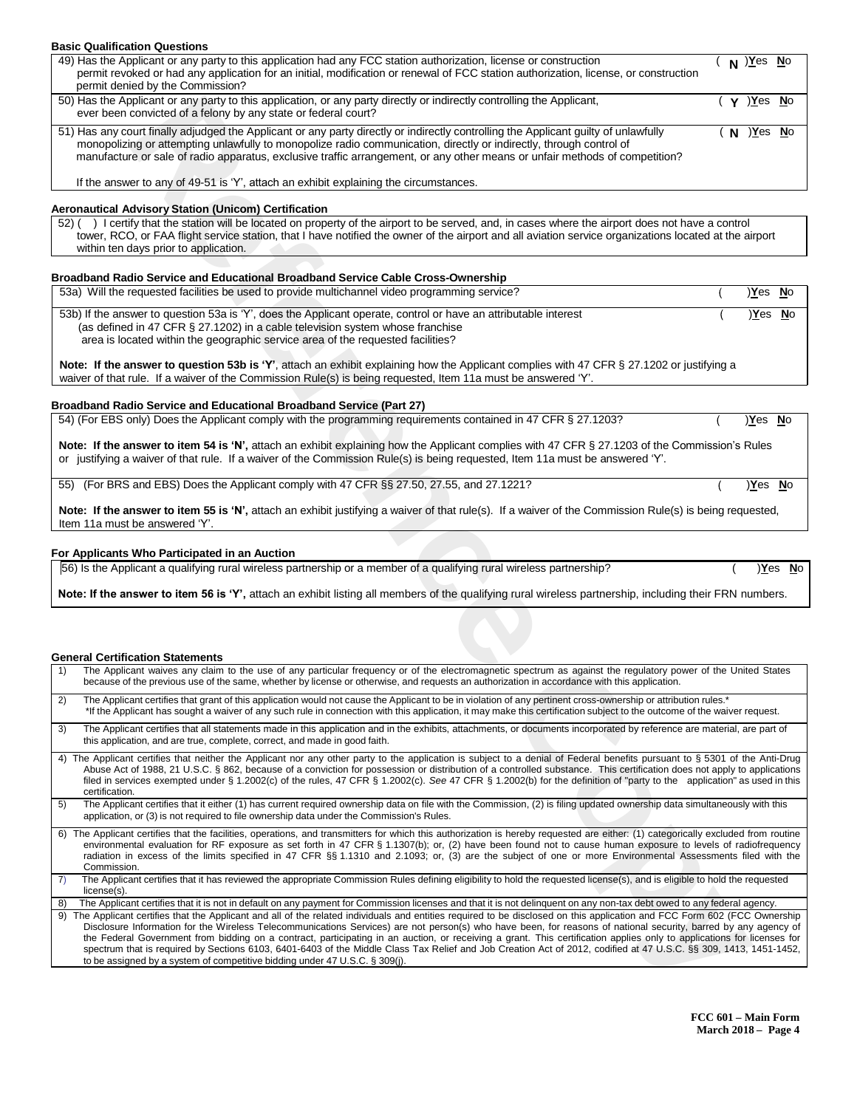## **Basic Qualification Questions**

| 49) Has the Applicant or any party to this application had any FCC station authorization, license or construction<br>permit revoked or had any application for an initial, modification or renewal of FCC station authorization, license, or construction<br>permit denied by the Commission?                                                                                             |  | <u>)Yes No</u> |  |
|-------------------------------------------------------------------------------------------------------------------------------------------------------------------------------------------------------------------------------------------------------------------------------------------------------------------------------------------------------------------------------------------|--|----------------|--|
| 50) Has the Applicant or any party to this application, or any party directly or indirectly controlling the Applicant,<br>ever been convicted of a felony by any state or federal court?                                                                                                                                                                                                  |  | Y ) Yes No     |  |
| 51) Has any court finally adjudged the Applicant or any party directly or indirectly controlling the Applicant guilty of unlawfully<br>monopolizing or attempting unlawfully to monopolize radio communication, directly or indirectly, through control of<br>manufacture or sale of radio apparatus, exclusive traffic arrangement, or any other means or unfair methods of competition? |  | $N$ ) Yes No   |  |

### **Aeronautical Advisory Station (Unicom) Certification**

## **Broadband Radio Service and Educational Broadband Service Cable Cross-Ownership**

| 53a) Will the requested facilities be used to provide multichannel video programming service?                                                                                                                                                                                       | Yes No |  |
|-------------------------------------------------------------------------------------------------------------------------------------------------------------------------------------------------------------------------------------------------------------------------------------|--------|--|
| 53b) If the answer to question 53a is 'Y', does the Applicant operate, control or have an attributable interest<br>(as defined in 47 CFR § 27.1202) in a cable television system whose franchise<br>area is located within the geographic service area of the requested facilities? | Yes No |  |
| Note: If the answer to question 53b is 'Y' attach an exhibit explaining how the Applicant complies with 47 CER 8 27 1202 or justifying a                                                                                                                                            |        |  |

## **Broadband Radio Service and Educational Broadband Service (Part 27)**

## **For Applicants Who Participated in an Auction**

### **General Certification Statements**

| 50) Has the Applicant or any party to this application, or any party directly or indirectly controlling the Applicant,<br>ever been convicted of a felony by any state or federal court?                                                                                                                                                                                                                                                                                                                                                           | ( <b>γ</b> ) <u>Y</u> es <u>N</u> o |               |
|----------------------------------------------------------------------------------------------------------------------------------------------------------------------------------------------------------------------------------------------------------------------------------------------------------------------------------------------------------------------------------------------------------------------------------------------------------------------------------------------------------------------------------------------------|-------------------------------------|---------------|
| 51) Has any court finally adjudged the Applicant or any party directly or indirectly controlling the Applicant guilty of unlawfully<br>monopolizing or attempting unlawfully to monopolize radio communication, directly or indirectly, through control of<br>manufacture or sale of radio apparatus, exclusive traffic arrangement, or any other means or unfair methods of competition?                                                                                                                                                          | <u>)Yes No</u><br>N                 |               |
| If the answer to any of 49-51 is 'Y', attach an exhibit explaining the circumstances.                                                                                                                                                                                                                                                                                                                                                                                                                                                              |                                     |               |
| Aeronautical Advisory Station (Unicom) Certification<br>52) () I certify that the station will be located on property of the airport to be served, and, in cases where the airport does not have a control                                                                                                                                                                                                                                                                                                                                         |                                     |               |
| tower, RCO, or FAA flight service station, that I have notified the owner of the airport and all aviation service organizations located at the airport<br>within ten days prior to application.                                                                                                                                                                                                                                                                                                                                                    |                                     |               |
| Broadband Radio Service and Educational Broadband Service Cable Cross-Ownership                                                                                                                                                                                                                                                                                                                                                                                                                                                                    |                                     |               |
| 53a) Will the requested facilities be used to provide multichannel video programming service?                                                                                                                                                                                                                                                                                                                                                                                                                                                      | <u>Yes No</u>                       |               |
| 53b) If the answer to question 53a is 'Y', does the Applicant operate, control or have an attributable interest<br>(as defined in 47 CFR § 27.1202) in a cable television system whose franchise<br>area is located within the geographic service area of the requested facilities?                                                                                                                                                                                                                                                                |                                     | )Yes No       |
| Note: If the answer to question 53b is 'Y', attach an exhibit explaining how the Applicant complies with 47 CFR § 27.1202 or justifying a<br>waiver of that rule. If a waiver of the Commission Rule(s) is being requested, Item 11a must be answered 'Y'.                                                                                                                                                                                                                                                                                         |                                     |               |
| <b>Broadband Radio Service and Educational Broadband Service (Part 27)</b>                                                                                                                                                                                                                                                                                                                                                                                                                                                                         |                                     |               |
| 54) (For EBS only) Does the Applicant comply with the programming requirements contained in 47 CFR § 27.1203?                                                                                                                                                                                                                                                                                                                                                                                                                                      | <u>Yes No</u>                       |               |
| Note: If the answer to item 54 is 'N', attach an exhibit explaining how the Applicant complies with 47 CFR § 27.1203 of the Commission's Rules<br>or justifying a waiver of that rule. If a waiver of the Commission Rule(s) is being requested, Item 11a must be answered 'Y'.                                                                                                                                                                                                                                                                    |                                     |               |
| (For BRS and EBS) Does the Applicant comply with 47 CFR §§ 27.50, 27.55, and 27.1221?<br>55)                                                                                                                                                                                                                                                                                                                                                                                                                                                       | <u>Yes No</u>                       |               |
| Note: If the answer to item 55 is 'N', attach an exhibit justifying a waiver of that rule(s). If a waiver of the Commission Rule(s) is being requested,<br>Item 11a must be answered 'Y'.                                                                                                                                                                                                                                                                                                                                                          |                                     |               |
| For Applicants Who Participated in an Auction                                                                                                                                                                                                                                                                                                                                                                                                                                                                                                      |                                     |               |
| 56) Is the Applicant a qualifying rural wireless partnership or a member of a qualifying rural wireless partnership?                                                                                                                                                                                                                                                                                                                                                                                                                               |                                     | <u>Yes No</u> |
| Note: If the answer to item 56 is 'Y', attach an exhibit listing all members of the qualifying rural wireless partnership, including their FRN numbers.                                                                                                                                                                                                                                                                                                                                                                                            |                                     |               |
|                                                                                                                                                                                                                                                                                                                                                                                                                                                                                                                                                    |                                     |               |
| <b>General Certification Statements</b>                                                                                                                                                                                                                                                                                                                                                                                                                                                                                                            |                                     |               |
| The Applicant waives any claim to the use of any particular frequency or of the electromagnetic spectrum as against the regulatory power of the United States<br>1)<br>because of the previous use of the same, whether by license or otherwise, and requests an authorization in accordance with this application.                                                                                                                                                                                                                                |                                     |               |
| The Applicant certifies that grant of this application would not cause the Applicant to be in violation of any pertinent cross-ownership or attribution rules.*<br>2)<br>*If the Applicant has sought a waiver of any such rule in connection with this application, it may make this certification subject to the outcome of the waiver request.                                                                                                                                                                                                  |                                     |               |
| 3)<br>The Applicant certifies that all statements made in this application and in the exhibits, attachments, or documents incorporated by reference are material, are part of<br>this application, and are true, complete, correct, and made in good faith.                                                                                                                                                                                                                                                                                        |                                     |               |
| 4) The Applicant certifies that neither the Applicant nor any other party to the application is subject to a denial of Federal benefits pursuant to § 5301 of the Anti-Drug<br>Abuse Act of 1988, 21 U.S.C. § 862, because of a conviction for possession or distribution of a controlled substance. This certification does not apply to applications<br>filed in services exempted under § 1.2002(c) of the rules, 47 CFR § 1.2002(c). See 47 CFR § 1.2002(b) for the definition of "party to the application" as used in this<br>certification. |                                     |               |
| 5)<br>The Applicant certifies that it either (1) has current required ownership data on file with the Commission, (2) is filing updated ownership data simultaneously with this<br>application, or (3) is not required to file ownership data under the Commission's Rules.                                                                                                                                                                                                                                                                        |                                     |               |
| 6) The Applicant certifies that the facilities, operations, and transmitters for which this authorization is hereby requested are either: (1) categorically excluded from routine<br>environmental evaluation for RF exposure as set forth in 47 CFR § 1.1307(b); or, (2) have been found not to cause human exposure to levels of radiofrequency<br>radiation in excess of the limits specified in 47 CFR §§ 1.1310 and 2.1093; or, (3) are the subject of one or more Environmental Assessments filed with the<br>Commission.                    |                                     |               |
| The Applicant certifies that it has reviewed the appropriate Commission Rules defining eligibility to hold the requested license(s), and is eligible to hold the requested<br>7)<br>license(s).                                                                                                                                                                                                                                                                                                                                                    |                                     |               |
| 8)<br>The Applicant certifies that it is not in default on any payment for Commission licenses and that it is not delinquent on any non-tax debt owed to any federal agency.<br>9) The Applicant certifies that the Applicant and all of the related individuals and entities required to be disclosed on this application and FCC Form 602 (FCC Ownership                                                                                                                                                                                         |                                     |               |
| Disclosure Information for the Wireless Telecommunications Services) are not person(s) who have been, for reasons of national security, barred by any agency of<br>the Federal Government from bidding on a contract, participating in an auction, or receiving a grant. This certification applies only to applications for licenses for<br>spectrum that is required by Sections 6103, 6401-6403 of the Middle Class Tax Relief and Job Creation Act of 2012, codified at 47 U.S.C. §§ 309, 1413, 1451-1452,                                     |                                     |               |
| to be assigned by a system of competitive bidding under 47 U.S.C. $\S$ 309(j).                                                                                                                                                                                                                                                                                                                                                                                                                                                                     |                                     |               |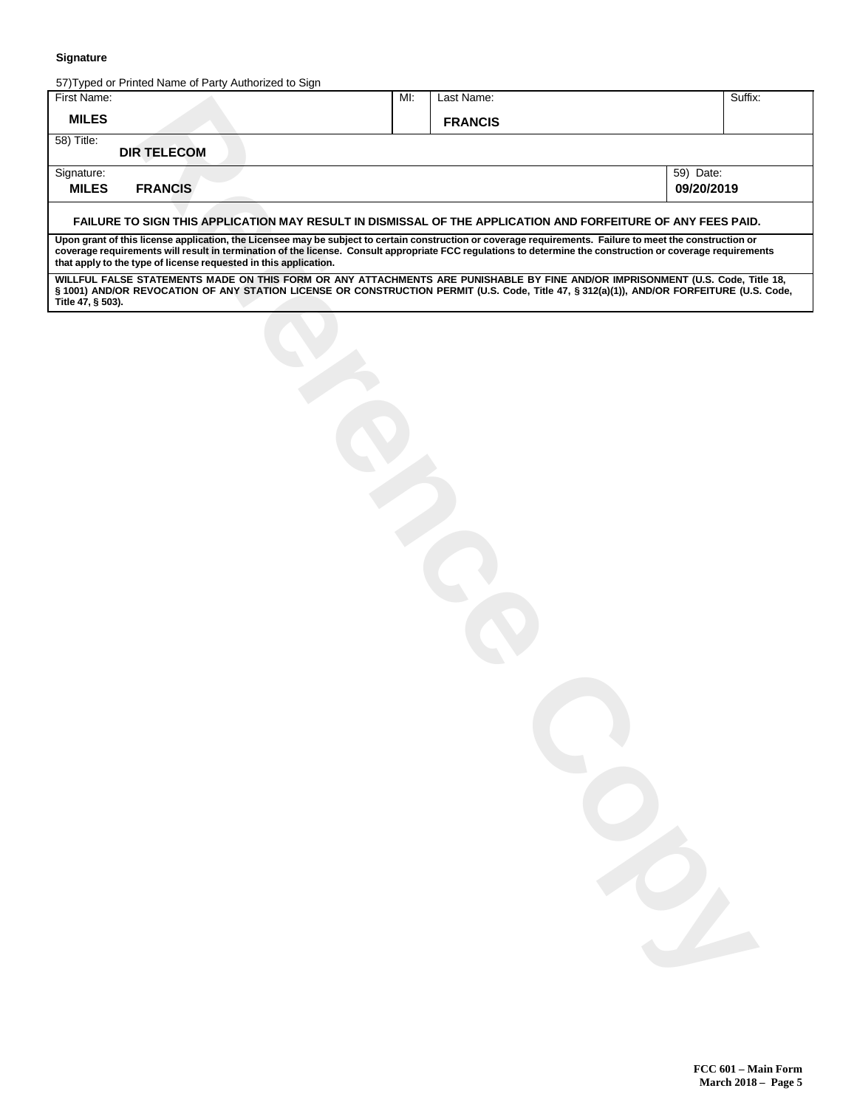| 57) Typed or Printed Name of Party Authorized to Sign<br>MI:<br>Last Name:<br>Suffix:<br><b>MILES</b><br><b>FRANCIS</b><br><b>DIR TELECOM</b><br>Signature:<br>59) Date:<br>09/20/2019<br><b>FRANCIS</b><br>FAILURE TO SIGN THIS APPLICATION MAY RESULT IN DISMISSAL OF THE APPLICATION AND FORFEITURE OF ANY FEES PAID.<br>Upon grant of this license application, the Licensee may be subject to certain construction or coverage requirements. Failure to meet the construction or<br>coverage requirements will result in termination of the license. Consult appropriate FCC regulations to determine the construction or coverage requirements<br>that apply to the type of license requested in this application.<br>WILLFUL FALSE STATEMENTS MADE ON THIS FORM OR ANY ATTACHMENTS ARE PUNISHABLE BY FINE AND/OR IMPRISONMENT (U.S. Code, Title 18,<br>§ 1001) AND/OR REVOCATION OF ANY STATION LICENSE OR CONSTRUCTION PERMIT (U.S. Code, Title 47, § 312(a)(1)), AND/OR FORFEITURE (U.S. Code, | <b>Signature</b>  |  |  |  |
|---------------------------------------------------------------------------------------------------------------------------------------------------------------------------------------------------------------------------------------------------------------------------------------------------------------------------------------------------------------------------------------------------------------------------------------------------------------------------------------------------------------------------------------------------------------------------------------------------------------------------------------------------------------------------------------------------------------------------------------------------------------------------------------------------------------------------------------------------------------------------------------------------------------------------------------------------------------------------------------------------------|-------------------|--|--|--|
|                                                                                                                                                                                                                                                                                                                                                                                                                                                                                                                                                                                                                                                                                                                                                                                                                                                                                                                                                                                                         | First Name:       |  |  |  |
|                                                                                                                                                                                                                                                                                                                                                                                                                                                                                                                                                                                                                                                                                                                                                                                                                                                                                                                                                                                                         |                   |  |  |  |
|                                                                                                                                                                                                                                                                                                                                                                                                                                                                                                                                                                                                                                                                                                                                                                                                                                                                                                                                                                                                         | 58) Title:        |  |  |  |
|                                                                                                                                                                                                                                                                                                                                                                                                                                                                                                                                                                                                                                                                                                                                                                                                                                                                                                                                                                                                         |                   |  |  |  |
|                                                                                                                                                                                                                                                                                                                                                                                                                                                                                                                                                                                                                                                                                                                                                                                                                                                                                                                                                                                                         | <b>MILES</b>      |  |  |  |
|                                                                                                                                                                                                                                                                                                                                                                                                                                                                                                                                                                                                                                                                                                                                                                                                                                                                                                                                                                                                         |                   |  |  |  |
|                                                                                                                                                                                                                                                                                                                                                                                                                                                                                                                                                                                                                                                                                                                                                                                                                                                                                                                                                                                                         |                   |  |  |  |
|                                                                                                                                                                                                                                                                                                                                                                                                                                                                                                                                                                                                                                                                                                                                                                                                                                                                                                                                                                                                         | Title 47, § 503). |  |  |  |
|                                                                                                                                                                                                                                                                                                                                                                                                                                                                                                                                                                                                                                                                                                                                                                                                                                                                                                                                                                                                         |                   |  |  |  |
|                                                                                                                                                                                                                                                                                                                                                                                                                                                                                                                                                                                                                                                                                                                                                                                                                                                                                                                                                                                                         |                   |  |  |  |
|                                                                                                                                                                                                                                                                                                                                                                                                                                                                                                                                                                                                                                                                                                                                                                                                                                                                                                                                                                                                         |                   |  |  |  |
|                                                                                                                                                                                                                                                                                                                                                                                                                                                                                                                                                                                                                                                                                                                                                                                                                                                                                                                                                                                                         |                   |  |  |  |
|                                                                                                                                                                                                                                                                                                                                                                                                                                                                                                                                                                                                                                                                                                                                                                                                                                                                                                                                                                                                         |                   |  |  |  |
|                                                                                                                                                                                                                                                                                                                                                                                                                                                                                                                                                                                                                                                                                                                                                                                                                                                                                                                                                                                                         |                   |  |  |  |
|                                                                                                                                                                                                                                                                                                                                                                                                                                                                                                                                                                                                                                                                                                                                                                                                                                                                                                                                                                                                         |                   |  |  |  |
|                                                                                                                                                                                                                                                                                                                                                                                                                                                                                                                                                                                                                                                                                                                                                                                                                                                                                                                                                                                                         |                   |  |  |  |
|                                                                                                                                                                                                                                                                                                                                                                                                                                                                                                                                                                                                                                                                                                                                                                                                                                                                                                                                                                                                         |                   |  |  |  |
|                                                                                                                                                                                                                                                                                                                                                                                                                                                                                                                                                                                                                                                                                                                                                                                                                                                                                                                                                                                                         |                   |  |  |  |
|                                                                                                                                                                                                                                                                                                                                                                                                                                                                                                                                                                                                                                                                                                                                                                                                                                                                                                                                                                                                         |                   |  |  |  |
|                                                                                                                                                                                                                                                                                                                                                                                                                                                                                                                                                                                                                                                                                                                                                                                                                                                                                                                                                                                                         |                   |  |  |  |
|                                                                                                                                                                                                                                                                                                                                                                                                                                                                                                                                                                                                                                                                                                                                                                                                                                                                                                                                                                                                         |                   |  |  |  |
|                                                                                                                                                                                                                                                                                                                                                                                                                                                                                                                                                                                                                                                                                                                                                                                                                                                                                                                                                                                                         |                   |  |  |  |
|                                                                                                                                                                                                                                                                                                                                                                                                                                                                                                                                                                                                                                                                                                                                                                                                                                                                                                                                                                                                         |                   |  |  |  |
|                                                                                                                                                                                                                                                                                                                                                                                                                                                                                                                                                                                                                                                                                                                                                                                                                                                                                                                                                                                                         |                   |  |  |  |
|                                                                                                                                                                                                                                                                                                                                                                                                                                                                                                                                                                                                                                                                                                                                                                                                                                                                                                                                                                                                         |                   |  |  |  |
|                                                                                                                                                                                                                                                                                                                                                                                                                                                                                                                                                                                                                                                                                                                                                                                                                                                                                                                                                                                                         |                   |  |  |  |
|                                                                                                                                                                                                                                                                                                                                                                                                                                                                                                                                                                                                                                                                                                                                                                                                                                                                                                                                                                                                         |                   |  |  |  |
|                                                                                                                                                                                                                                                                                                                                                                                                                                                                                                                                                                                                                                                                                                                                                                                                                                                                                                                                                                                                         |                   |  |  |  |
|                                                                                                                                                                                                                                                                                                                                                                                                                                                                                                                                                                                                                                                                                                                                                                                                                                                                                                                                                                                                         |                   |  |  |  |
|                                                                                                                                                                                                                                                                                                                                                                                                                                                                                                                                                                                                                                                                                                                                                                                                                                                                                                                                                                                                         |                   |  |  |  |
|                                                                                                                                                                                                                                                                                                                                                                                                                                                                                                                                                                                                                                                                                                                                                                                                                                                                                                                                                                                                         |                   |  |  |  |
|                                                                                                                                                                                                                                                                                                                                                                                                                                                                                                                                                                                                                                                                                                                                                                                                                                                                                                                                                                                                         |                   |  |  |  |
|                                                                                                                                                                                                                                                                                                                                                                                                                                                                                                                                                                                                                                                                                                                                                                                                                                                                                                                                                                                                         |                   |  |  |  |
|                                                                                                                                                                                                                                                                                                                                                                                                                                                                                                                                                                                                                                                                                                                                                                                                                                                                                                                                                                                                         |                   |  |  |  |
|                                                                                                                                                                                                                                                                                                                                                                                                                                                                                                                                                                                                                                                                                                                                                                                                                                                                                                                                                                                                         |                   |  |  |  |
|                                                                                                                                                                                                                                                                                                                                                                                                                                                                                                                                                                                                                                                                                                                                                                                                                                                                                                                                                                                                         |                   |  |  |  |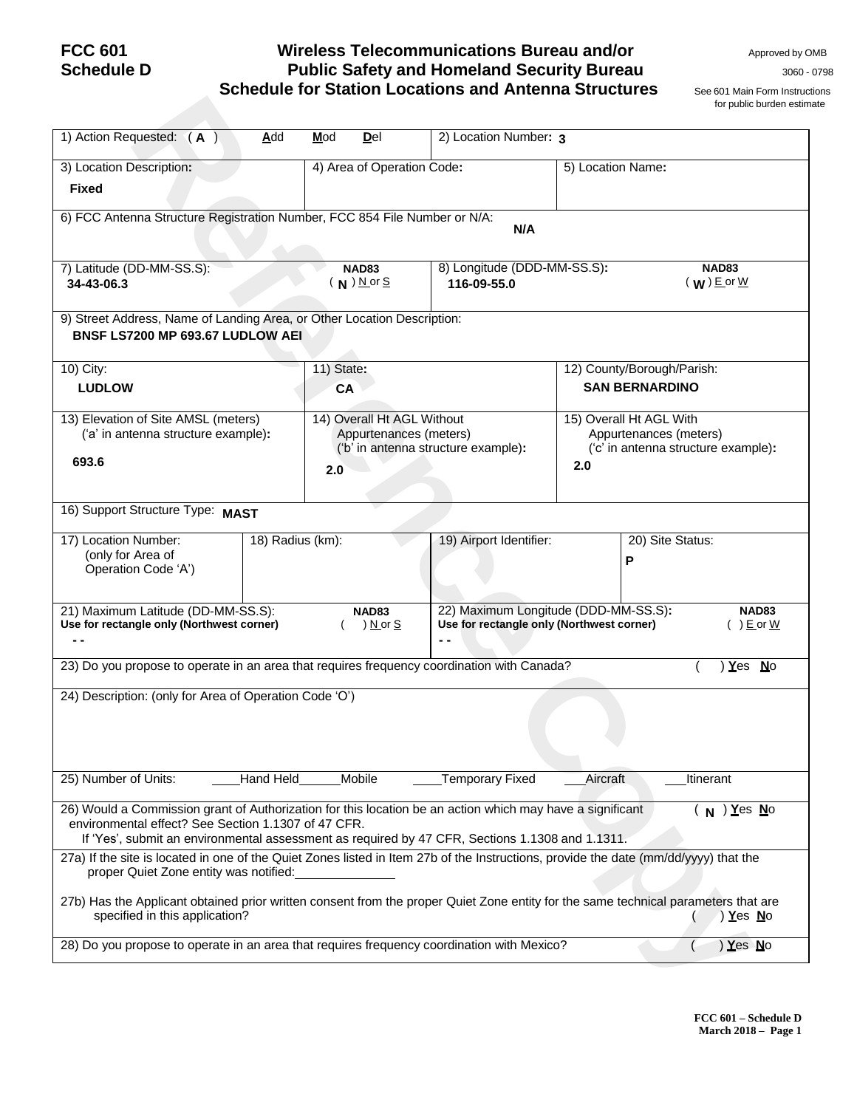# **Schedule D Public Safety and Homeland Security Bureau** <sup>3060</sup> - <sup>0798</sup> **Schedule for Station Locations and Antenna Structures** See 601 Main Form Instructions

for public burden estimate

| <b>FCC 601</b><br><b>Schedule D</b>                                                                                                                                                                                                                                 |                  |                         |                                                      | <b>Wireless Telecommunications Bureau and/or</b><br><b>Public Safety and Homeland Security Bureau</b><br><b>Schedule for Station Locations and Antenna Structures</b> |                                                                                                 | Approved by OMB<br>3060 - 079<br>See 601 Main Form Instruction<br>for public burden estimate |  |  |
|---------------------------------------------------------------------------------------------------------------------------------------------------------------------------------------------------------------------------------------------------------------------|------------------|-------------------------|------------------------------------------------------|-----------------------------------------------------------------------------------------------------------------------------------------------------------------------|-------------------------------------------------------------------------------------------------|----------------------------------------------------------------------------------------------|--|--|
| 1) Action Requested: (A)                                                                                                                                                                                                                                            | Add              | Mod                     | Del                                                  | 2) Location Number: 3                                                                                                                                                 |                                                                                                 |                                                                                              |  |  |
| 3) Location Description:<br><b>Fixed</b>                                                                                                                                                                                                                            |                  |                         | 4) Area of Operation Code:                           |                                                                                                                                                                       | 5) Location Name:                                                                               |                                                                                              |  |  |
| 6) FCC Antenna Structure Registration Number, FCC 854 File Number or N/A:                                                                                                                                                                                           |                  |                         |                                                      | N/A                                                                                                                                                                   |                                                                                                 |                                                                                              |  |  |
| 7) Latitude (DD-MM-SS.S):<br>34-43-06.3                                                                                                                                                                                                                             |                  |                         | <b>NAD83</b><br>$(N)$ N or S                         | 8) Longitude (DDD-MM-SS.S):<br>116-09-55.0                                                                                                                            |                                                                                                 | <b>NAD83</b><br>$(W)$ E or $W$                                                               |  |  |
| 9) Street Address, Name of Landing Area, or Other Location Description:<br>BNSF LS7200 MP 693.67 LUDLOW AEI                                                                                                                                                         |                  |                         |                                                      |                                                                                                                                                                       |                                                                                                 |                                                                                              |  |  |
| 10) City:<br><b>LUDLOW</b>                                                                                                                                                                                                                                          |                  | 11) State:<br><b>CA</b> |                                                      |                                                                                                                                                                       | 12) County/Borough/Parish:<br><b>SAN BERNARDINO</b>                                             |                                                                                              |  |  |
| 13) Elevation of Site AMSL (meters)<br>('a' in antenna structure example):<br>693.6                                                                                                                                                                                 |                  | 2.0                     | 14) Overall Ht AGL Without<br>Appurtenances (meters) | ('b' in antenna structure example):                                                                                                                                   | 15) Overall Ht AGL With<br>Appurtenances (meters)<br>('c' in antenna structure example):<br>2.0 |                                                                                              |  |  |
| 16) Support Structure Type: MAST                                                                                                                                                                                                                                    |                  |                         |                                                      |                                                                                                                                                                       |                                                                                                 |                                                                                              |  |  |
| 17) Location Number:<br>(only for Area of<br>Operation Code 'A')                                                                                                                                                                                                    | 18) Radius (km): |                         |                                                      | 19) Airport Identifier:                                                                                                                                               | 20) Site Status:<br>P                                                                           |                                                                                              |  |  |
| 21) Maximum Latitude (DD-MM-SS.S):<br>Use for rectangle only (Northwest corner)                                                                                                                                                                                     |                  |                         | <b>NAD83</b><br>) <u>N</u> or <u>S</u>               | Use for rectangle only (Northwest corner)                                                                                                                             | 22) Maximum Longitude (DDD-MM-SS.S):                                                            | <b>NAD83</b><br>$( ) E$ or $W$                                                               |  |  |
| 23) Do you propose to operate in an area that requires frequency coordination with Canada?                                                                                                                                                                          |                  |                         |                                                      |                                                                                                                                                                       |                                                                                                 | $Yes$ No                                                                                     |  |  |
| 24) Description: (only for Area of Operation Code 'O')                                                                                                                                                                                                              |                  |                         |                                                      |                                                                                                                                                                       |                                                                                                 |                                                                                              |  |  |
| 25) Number of Units:                                                                                                                                                                                                                                                | Hand Held        |                         | Mobile                                               | <b>Temporary Fixed</b>                                                                                                                                                | Aircraft                                                                                        | Itinerant                                                                                    |  |  |
| 26) Would a Commission grant of Authorization for this location be an action which may have a significant<br>environmental effect? See Section 1.1307 of 47 CFR.<br>If 'Yes', submit an environmental assessment as required by 47 CFR, Sections 1.1308 and 1.1311. |                  |                         |                                                      |                                                                                                                                                                       |                                                                                                 | $(N)$ Yes $N$ o                                                                              |  |  |
| 27a) If the site is located in one of the Quiet Zones listed in Item 27b of the Instructions, provide the date (mm/dd/yyyy) that the<br>proper Quiet Zone entity was notified:                                                                                      |                  |                         |                                                      |                                                                                                                                                                       |                                                                                                 |                                                                                              |  |  |
| 27b) Has the Applicant obtained prior written consent from the proper Quiet Zone entity for the same technical parameters that are<br>specified in this application?                                                                                                |                  |                         |                                                      |                                                                                                                                                                       |                                                                                                 | ) <b>Y</b> es No                                                                             |  |  |
| 28) Do you propose to operate in an area that requires frequency coordination with Mexico?                                                                                                                                                                          |                  |                         |                                                      |                                                                                                                                                                       |                                                                                                 | Yes No                                                                                       |  |  |
|                                                                                                                                                                                                                                                                     |                  |                         |                                                      |                                                                                                                                                                       |                                                                                                 |                                                                                              |  |  |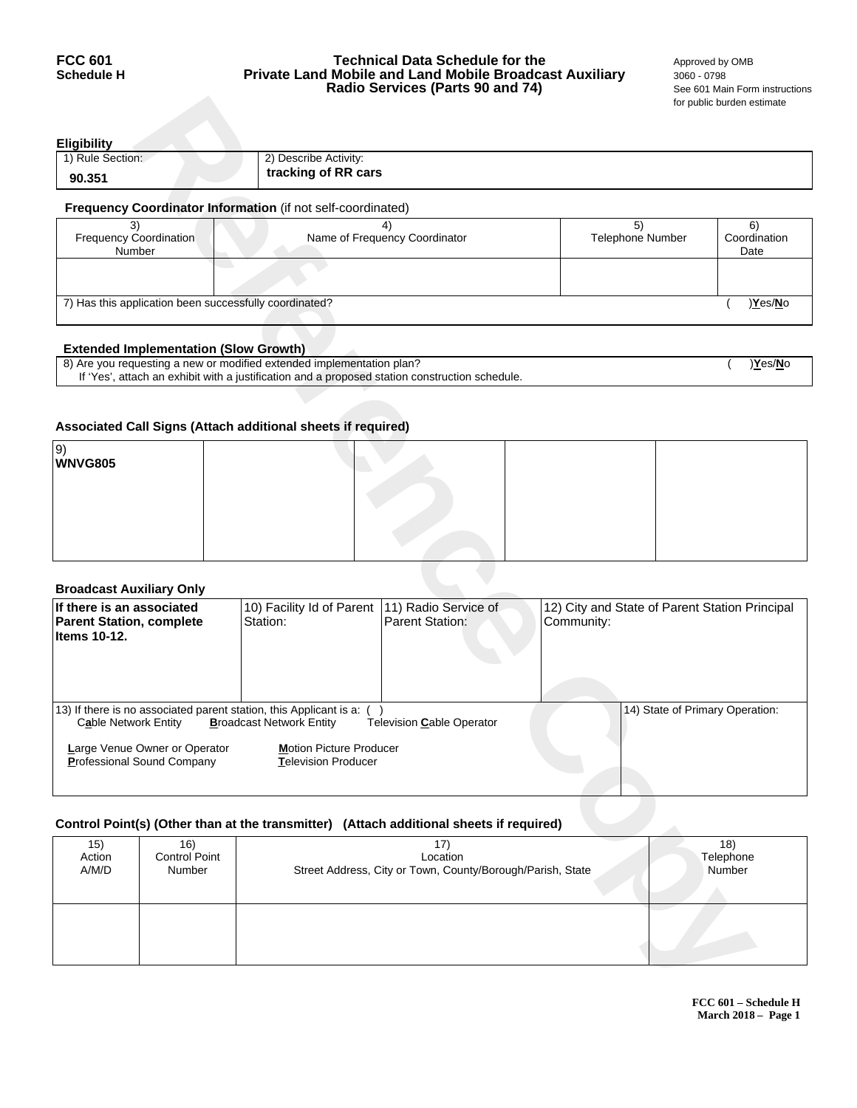## **FCC 601 Technical Data Schedule for the** <br>**Schedule H Private Land Mobile and Land Mobile Broadcast Auxiliary** 3060 - 0798 **Private Land Mobile and Land Mobile Broadcast Auxiliary** 3060 - 0798<br>**Radio Services (Parts 90 and 74)** See 601 Main Form instructions **Radio Services (Parts 90 and 74)**

for public burden estimate

| <b>Eligibility</b>                                                 |                     |  |  |  |  |  |
|--------------------------------------------------------------------|---------------------|--|--|--|--|--|
| 1) Rule Section:<br>2) Describe Activity:                          |                     |  |  |  |  |  |
| 90.351                                                             | tracking of RR cars |  |  |  |  |  |
| <b>Frequency Coordinator Information</b> (if not self-coordinated) |                     |  |  |  |  |  |

| Name of Frequency Coordinator                          | <b>Telephone Number</b> | Coordination |  |  |  |  |  |  |
|--------------------------------------------------------|-------------------------|--------------|--|--|--|--|--|--|
|                                                        |                         | Date         |  |  |  |  |  |  |
|                                                        |                         |              |  |  |  |  |  |  |
|                                                        |                         |              |  |  |  |  |  |  |
|                                                        |                         |              |  |  |  |  |  |  |
| 7) Has this application been successfully coordinated? |                         |              |  |  |  |  |  |  |
|                                                        |                         | )Yes/No      |  |  |  |  |  |  |
|                                                        |                         |              |  |  |  |  |  |  |

## **Extended Implementation (Slow Growth)**

| 8) Are you requesting a new or modified extended implementation plan?                          | Yes/No |
|------------------------------------------------------------------------------------------------|--------|
| If 'Yes', attach an exhibit with a justification and a proposed station construction schedule. |        |

# **Associated Call Signs (Attach additional sheets if required)**

| 9)<br>WNVG805 |  |  |
|---------------|--|--|
|               |  |  |
|               |  |  |

## **Broadcast Auxiliary Only**

|                                                 |                                              |                                                                                                                                                  |                                                            |            |                                                | for public burden estimate |
|-------------------------------------------------|----------------------------------------------|--------------------------------------------------------------------------------------------------------------------------------------------------|------------------------------------------------------------|------------|------------------------------------------------|----------------------------|
|                                                 |                                              |                                                                                                                                                  |                                                            |            |                                                |                            |
| <b>Eligibility</b><br>1) Rule Section:          |                                              | 2) Describe Activity:                                                                                                                            |                                                            |            |                                                |                            |
| 90.351                                          |                                              | tracking of RR cars                                                                                                                              |                                                            |            |                                                |                            |
|                                                 |                                              | Frequency Coordinator Information (if not self-coordinated)                                                                                      |                                                            |            |                                                |                            |
| 3)                                              |                                              |                                                                                                                                                  | 4)                                                         |            | 5)                                             | 6)                         |
| Frequency Coordination<br>Number                |                                              |                                                                                                                                                  | Name of Frequency Coordinator                              |            | Telephone Number                               | Coordination<br>Date       |
|                                                 |                                              |                                                                                                                                                  |                                                            |            |                                                |                            |
|                                                 |                                              |                                                                                                                                                  |                                                            |            |                                                |                            |
|                                                 |                                              | 7) Has this application been successfully coordinated?                                                                                           |                                                            |            |                                                | )Yes/No                    |
|                                                 |                                              |                                                                                                                                                  |                                                            |            |                                                |                            |
|                                                 | <b>Extended Implementation (Slow Growth)</b> | 8) Are you requesting a new or modified extended implementation plan?                                                                            |                                                            |            |                                                |                            |
|                                                 |                                              | If 'Yes', attach an exhibit with a justification and a proposed station construction schedule.                                                   |                                                            |            |                                                | )Yes/No                    |
|                                                 |                                              |                                                                                                                                                  |                                                            |            |                                                |                            |
|                                                 |                                              |                                                                                                                                                  |                                                            |            |                                                |                            |
|                                                 |                                              | Associated Call Signs (Attach additional sheets if required)                                                                                     |                                                            |            |                                                |                            |
| 9)<br><b>WNVG805</b>                            |                                              |                                                                                                                                                  |                                                            |            |                                                |                            |
|                                                 |                                              |                                                                                                                                                  |                                                            |            |                                                |                            |
|                                                 |                                              |                                                                                                                                                  |                                                            |            |                                                |                            |
|                                                 |                                              |                                                                                                                                                  |                                                            |            |                                                |                            |
|                                                 |                                              |                                                                                                                                                  |                                                            |            |                                                |                            |
|                                                 |                                              |                                                                                                                                                  |                                                            |            |                                                |                            |
| <b>Broadcast Auxiliary Only</b>                 |                                              |                                                                                                                                                  |                                                            |            |                                                |                            |
| If there is an associated                       |                                              | 10) Facility Id of Parent                                                                                                                        | 11) Radio Service of                                       |            | 12) City and State of Parent Station Principal |                            |
| <b>Parent Station, complete</b><br>Items 10-12. |                                              | Station:                                                                                                                                         | <b>Parent Station:</b>                                     | Community: |                                                |                            |
|                                                 |                                              |                                                                                                                                                  |                                                            |            |                                                |                            |
|                                                 |                                              |                                                                                                                                                  |                                                            |            |                                                |                            |
|                                                 |                                              |                                                                                                                                                  |                                                            |            |                                                |                            |
|                                                 |                                              | 13) If there is no associated parent station, this Applicant is a: ()<br>Cable Network Entity Broadcast Network Entity Television Cable Operator |                                                            |            | 14) State of Primary Operation:                |                            |
|                                                 | Large Venue Owner or Operator                | <b>Motion Picture Producer</b>                                                                                                                   |                                                            |            |                                                |                            |
|                                                 | Professional Sound Company                   | Television Producer                                                                                                                              |                                                            |            |                                                |                            |
|                                                 |                                              |                                                                                                                                                  |                                                            |            |                                                |                            |
|                                                 |                                              |                                                                                                                                                  |                                                            |            |                                                |                            |
|                                                 |                                              | Control Point(s) (Other than at the transmitter) (Attach additional sheets if required)                                                          |                                                            |            |                                                |                            |
| 15)<br>Action                                   | 16)<br>Control Point                         |                                                                                                                                                  | 17)<br>Location                                            |            |                                                | 18)<br>Telephone           |
| A/M/D                                           | Number                                       |                                                                                                                                                  | Street Address, City or Town, County/Borough/Parish, State |            |                                                | Number                     |
|                                                 |                                              |                                                                                                                                                  |                                                            |            |                                                |                            |
|                                                 |                                              |                                                                                                                                                  |                                                            |            |                                                |                            |
|                                                 |                                              |                                                                                                                                                  |                                                            |            |                                                |                            |
|                                                 |                                              |                                                                                                                                                  |                                                            |            |                                                |                            |
|                                                 |                                              |                                                                                                                                                  |                                                            |            |                                                |                            |
|                                                 |                                              |                                                                                                                                                  |                                                            |            |                                                |                            |

# **Control Point(s) (Other than at the transmitter) (Attach additional sheets if required)**

| 15)    | 16)                  | 17                                                         | 18)       |
|--------|----------------------|------------------------------------------------------------|-----------|
| Action | <b>Control Point</b> | Location                                                   | Telephone |
| A/M/D  | Number               | Street Address, City or Town, County/Borough/Parish, State | Number    |
|        |                      |                                                            |           |

**FCC 601 Schedule H March 2018 Page 1**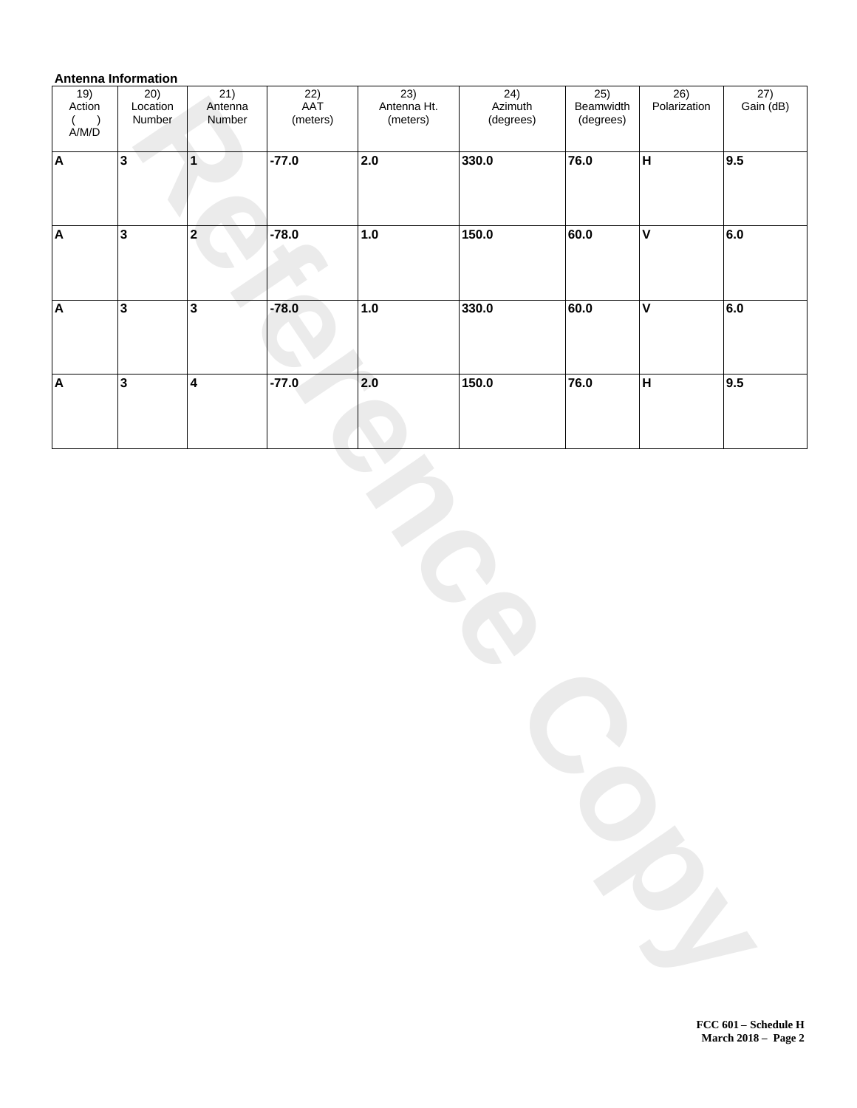# **Antenna Information**

| $\frac{19}{\text{Action}}$<br>$\begin{array}{c} ( \ \hbox{A/M/D} \end{array}$ | 20)<br>Location<br>Number | 21)<br>Antenna<br>Number | $\overline{22)}$<br>AAT<br>(meters) | 23)<br>Antenna Ht.<br>(meters) | $\frac{24}{\text{Azimuth}}$<br>(degrees) | $\frac{25}{\text{Beamoid}$<br>(degrees) | 26)<br>Polarization     | $\frac{27}{\text{Gain}(\text{dB})}$ |
|-------------------------------------------------------------------------------|---------------------------|--------------------------|-------------------------------------|--------------------------------|------------------------------------------|-----------------------------------------|-------------------------|-------------------------------------|
|                                                                               |                           |                          |                                     |                                |                                          |                                         |                         |                                     |
| $\boldsymbol{\mathsf{A}}$                                                     | $3\sqrt{ }$               | 1                        | $-77.0$                             | 2.0                            | 330.0                                    | 76.0                                    | $\overline{H}$          | $\overline{9.5}$                    |
| $\overline{\mathbf{A}}$                                                       | $\overline{\mathbf{3}}$   | $\overline{\mathbf{2}}$  | $-78.0$                             | $\overline{1.0}$               | 150.0                                    | 60.0                                    | $\overline{\mathsf{v}}$ | 6.0                                 |
| $\overline{\mathsf{A}}$                                                       | $\overline{\mathbf{3}}$   | $\overline{\mathbf{3}}$  | $-78.0$                             | 1.0                            | 330.0                                    | 60.0                                    | $\overline{\mathsf{v}}$ | 6.0                                 |
| A                                                                             | $\overline{\mathbf{3}}$   | $\overline{\mathbf{4}}$  | $-77.0$                             | 2.0                            | 150.0                                    | 76.0                                    | $\overline{H}$          | 9.5                                 |
|                                                                               |                           |                          |                                     |                                |                                          |                                         |                         |                                     |

**FCC 601 Schedule H March 2018 Page 2**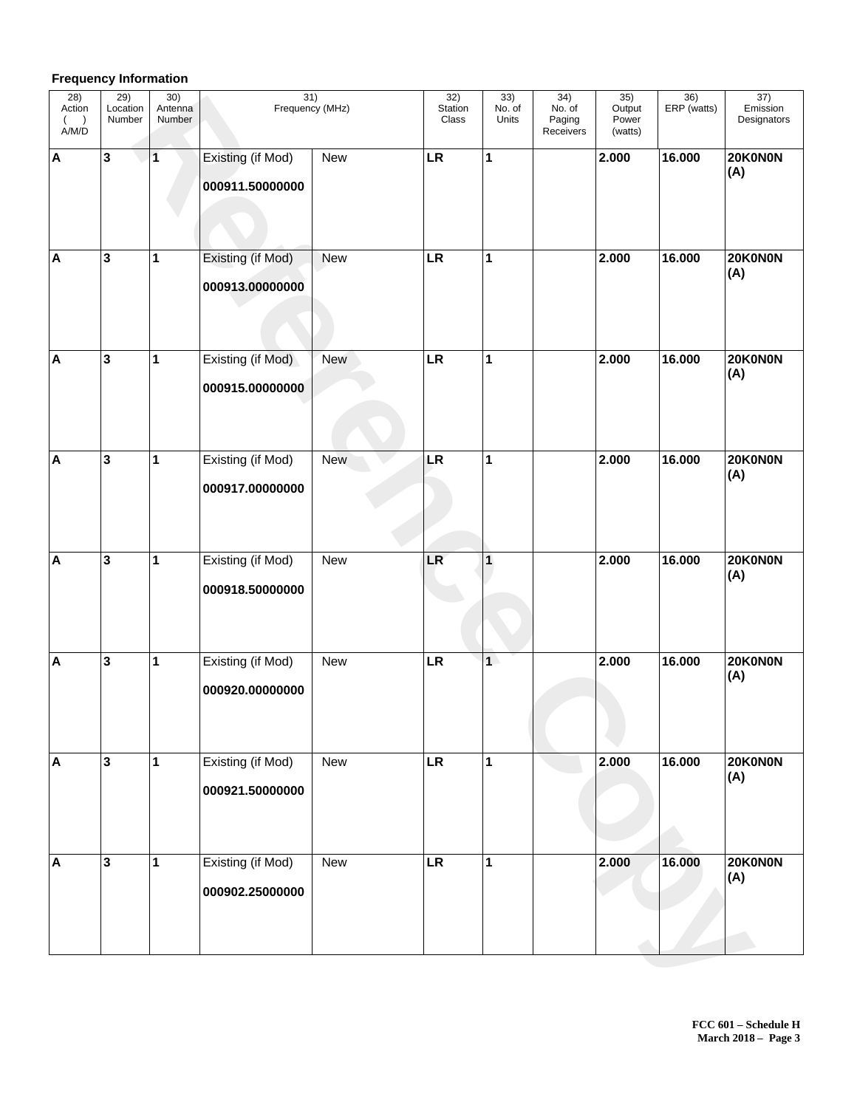# **Frequency Information**

| 28)<br>Action<br>A/M/D    | 29)<br>Location<br>Number | 30)<br>Antenna<br>Number | $\overline{31)}$<br>Frequency (MHz)  |            | 32)<br>Station<br>Class | 33)<br>No. of<br>Units | 34)<br>No. of<br>Paging<br>Receivers | 35)<br>Output<br>Power<br>(watts) | $\frac{36}{ERP \text{ (watts)}}$ | 37)<br>Emission<br>Designators |
|---------------------------|---------------------------|--------------------------|--------------------------------------|------------|-------------------------|------------------------|--------------------------------------|-----------------------------------|----------------------------------|--------------------------------|
| $\boldsymbol{\mathsf{A}}$ | 3                         | 1                        | Existing (if Mod)<br>000911.50000000 | <b>New</b> | LR                      | $\mathbf{1}$           |                                      | 2.000                             | 16.000                           | 20K0N0N<br>(A)                 |
| $\boldsymbol{\mathsf{A}}$ | 3                         | 1                        | Existing (if Mod)<br>000913.00000000 | <b>New</b> | LR                      | $\mathbf{1}$           |                                      | 2.000                             | 16.000                           | 20K0N0N<br>(A)                 |
| $\boldsymbol{\mathsf{A}}$ | 3                         | 1                        | Existing (if Mod)<br>000915.00000000 | <b>New</b> | LR                      | $\mathbf{1}$           |                                      | 2.000                             | 16.000                           | 20K0N0N<br>(A)                 |
| $\boldsymbol{\mathsf{A}}$ | 3                         | 1                        | Existing (if Mod)<br>000917.00000000 | New        | LR                      | $\mathbf{1}$           |                                      | 2.000                             | 16.000                           | 20K0N0N<br>(A)                 |
| $\blacktriangle$          | 3                         | 1                        | Existing (if Mod)<br>000918.50000000 | New        | LR                      | $\mathbf{1}$           |                                      | 2.000                             | 16.000                           | 20K0N0N<br>(A)                 |
| $\blacktriangle$          | 3                         | 1                        | Existing (if Mod)<br>000920.00000000 | <b>New</b> | LR                      | 1                      |                                      | 2.000                             | 16.000                           | 20K0N0N<br>(A)                 |
| $\boldsymbol{\mathsf{A}}$ | 3                         | $\mathbf{1}$             | Existing (if Mod)<br>000921.50000000 | New        | <b>LR</b>               | $\mathbf{1}$           |                                      | 2.000                             | 16.000                           | 20K0N0N<br>(A)                 |
| $\boldsymbol{\mathsf{A}}$ | 3                         | 1                        | Existing (if Mod)<br>000902.25000000 | New        | <b>LR</b>               | $\mathbf{1}$           |                                      | 2.000                             | 16.000                           | 20K0N0N<br>(A)                 |
|                           |                           |                          |                                      |            |                         |                        |                                      |                                   |                                  |                                |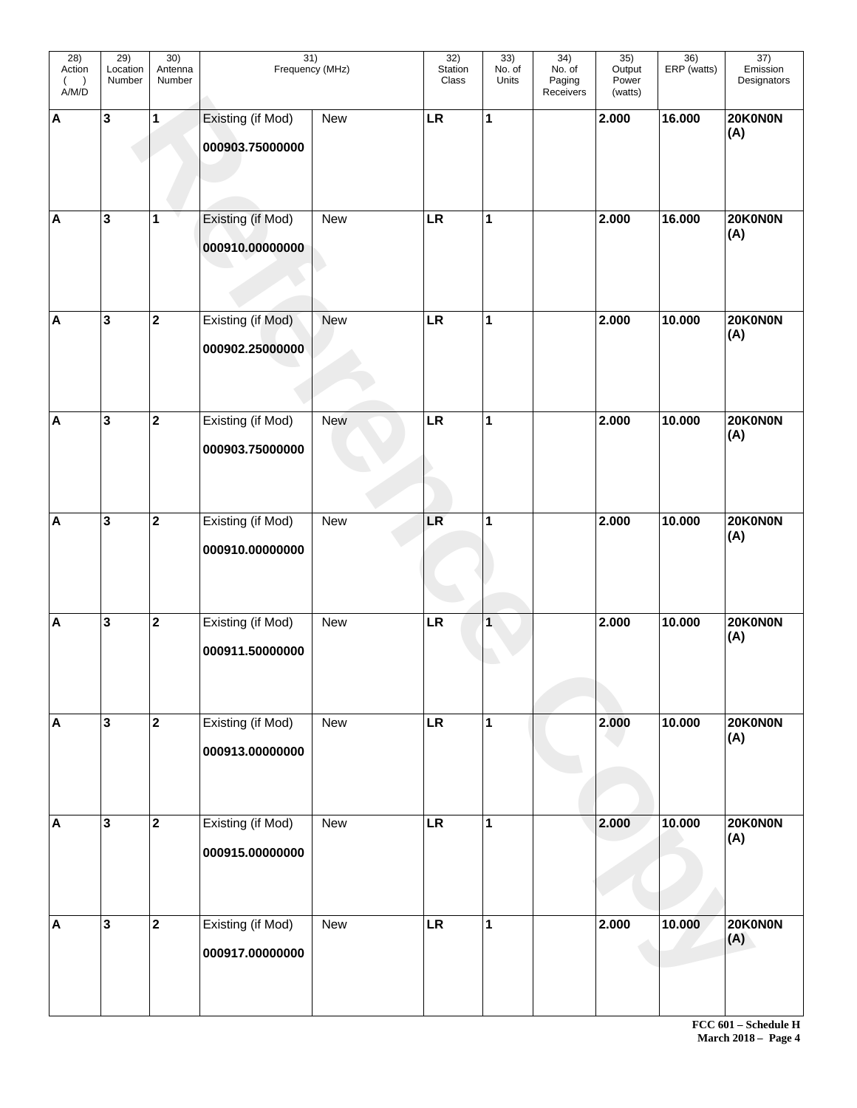| 28)<br>Action<br>$($ )<br>A/M/D | $\overline{29)}$<br>Location<br>Number | 30)<br>Antenna<br>Number | 31)<br>Frequency (MHz)               |            | 32)<br>Station<br>Class | 33)<br>No. of<br>Units | 34)<br>No. of<br>Paging<br>Receivers | 35)<br>Output<br>Power<br>(watts) | 36)<br>ERP (watts) | $\overline{37)}$<br>Emission<br>Designators |
|---------------------------------|----------------------------------------|--------------------------|--------------------------------------|------------|-------------------------|------------------------|--------------------------------------|-----------------------------------|--------------------|---------------------------------------------|
| $\boldsymbol{\mathsf{A}}$       | 3                                      | 1                        | Existing (if Mod)<br>000903.75000000 | New        | LR                      | 1                      |                                      | 2.000                             | 16.000             | 20K0N0N<br>(A)                              |
| $\boldsymbol{\mathsf{A}}$       | 3                                      | $\mathbf 1$              | Existing (if Mod)<br>000910.00000000 | New        | LR                      | 1                      |                                      | 2.000                             | 16.000             | 20K0N0N<br>(A)                              |
| $\boldsymbol{\mathsf{A}}$       | 3                                      | $\mathbf{2}$             | Existing (if Mod)<br>000902.25000000 | New        | LR                      | 1                      |                                      | 2.000                             | 10.000             | 20K0N0N<br>(A)                              |
| $\boldsymbol{\mathsf{A}}$       | 3                                      | $\mathbf 2$              | Existing (if Mod)<br>000903.75000000 | <b>New</b> | LR                      | $\mathbf{1}$           |                                      | 2.000                             | 10.000             | 20K0N0N<br>(A)                              |
| $\boldsymbol{\mathsf{A}}$       | 3                                      | $\mathbf{2}$             | Existing (if Mod)<br>000910.00000000 | New        | LR                      | 1                      |                                      | 2.000                             | 10.000             | 20K0N0N<br>(A)                              |
| $\boldsymbol{\mathsf{A}}$       | 3                                      | $\mathbf{2}$             | Existing (if Mod)<br>000911.50000000 | <b>New</b> | LR                      | 1                      |                                      | 2.000                             | 10.000             | 20K0N0N<br>(A)                              |
| $\boldsymbol{\mathsf{A}}$       | $\overline{\mathbf{3}}$                | $\overline{2}$           | Existing (if Mod)<br>000913.00000000 | New        | <b>LR</b>               | $\mathbf{1}$           |                                      | 2.000                             | 10.000             | 20K0N0N<br>(A)                              |
| $\boldsymbol{\mathsf{A}}$       | $\overline{\mathbf{3}}$                | $\mathbf{2}$             | Existing (if Mod)<br>000915.00000000 | New        | <b>LR</b>               | $\mathbf{1}$           |                                      | 2.000                             | 10.000             | 20K0N0N<br>(A)                              |
| $\boldsymbol{\mathsf{A}}$       | $\overline{\mathbf{3}}$                | $\mathbf{2}$             | Existing (if Mod)<br>000917.00000000 | New        | <b>LR</b>               | $\mathbf{1}$           |                                      | 2.000                             | 10.000             | 20K0N0N<br>(A)                              |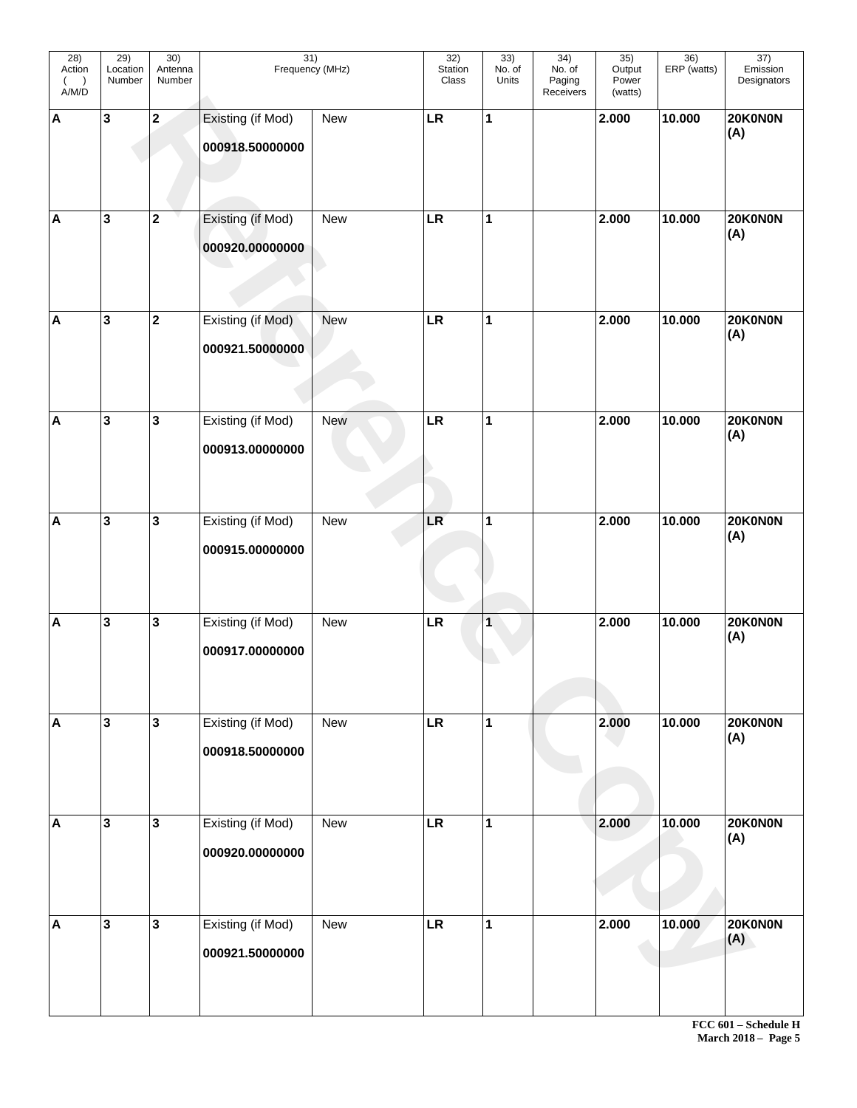| 28)<br>Action<br>$($ )<br>A/M/D | $\overline{29)}$<br>Location<br>Number | 30)<br>Antenna<br>Number | $\overline{31)}$<br>Frequency (MHz)  |            | 32)<br>Station<br>Class | 33)<br>No. of<br>Units | 34)<br>No. of<br>Paging<br>Receivers | 35)<br>Output<br>Power<br>(watts) | $\overline{36}$<br>ERP (watts) | $\overline{37)}$<br>Emission<br>Designators |
|---------------------------------|----------------------------------------|--------------------------|--------------------------------------|------------|-------------------------|------------------------|--------------------------------------|-----------------------------------|--------------------------------|---------------------------------------------|
| $\boldsymbol{\mathsf{A}}$       | 3                                      | $\mathbf{2}$             | Existing (if Mod)<br>000918.50000000 | New        | LR                      | 1                      |                                      | 2.000                             | 10.000                         | 20K0N0N<br>(A)                              |
| $\boldsymbol{\mathsf{A}}$       | 3                                      | $\mathbf{2}$             | Existing (if Mod)<br>000920.00000000 | New        | LR                      | 1                      |                                      | 2.000                             | 10.000                         | 20K0N0N<br>(A)                              |
| $\boldsymbol{\mathsf{A}}$       | 3                                      | $\mathbf{2}$             | Existing (if Mod)<br>000921.50000000 | New        | LR                      | 1                      |                                      | 2.000                             | 10.000                         | 20K0N0N<br>(A)                              |
| $\boldsymbol{\mathsf{A}}$       | 3                                      | $\mathbf{3}$             | Existing (if Mod)<br>000913.00000000 | <b>New</b> | LR                      | $\mathbf{1}$           |                                      | 2.000                             | 10.000                         | 20K0N0N<br>(A)                              |
| $\boldsymbol{\mathsf{A}}$       | 3                                      | $\mathbf{3}$             | Existing (if Mod)<br>000915.00000000 | New        | LR                      | 1                      |                                      | 2.000                             | 10.000                         | 20K0N0N<br>(A)                              |
| $\boldsymbol{\mathsf{A}}$       | 3                                      | $\mathbf 3$              | Existing (if Mod)<br>000917.00000000 | <b>New</b> | LR                      | 1                      |                                      | 2.000                             | 10.000                         | 20K0N0N<br>(A)                              |
| $\boldsymbol{\mathsf{A}}$       | $\overline{\mathbf{3}}$                | $\overline{\mathbf{3}}$  | Existing (if Mod)<br>000918.50000000 | New        | <b>LR</b>               | $\mathbf{1}$           |                                      | 2.000                             | 10.000                         | 20K0N0N<br>(A)                              |
| $\boldsymbol{\mathsf{A}}$       | $\overline{\mathbf{3}}$                | $\overline{\mathbf{3}}$  | Existing (if Mod)<br>000920.00000000 | New        | <b>LR</b>               | $\mathbf{1}$           |                                      | 2.000                             | 10.000                         | 20K0N0N<br>(A)                              |
| $\boldsymbol{\mathsf{A}}$       | 3                                      | $\overline{\mathbf{3}}$  | Existing (if Mod)<br>000921.50000000 | New        | <b>LR</b>               | $\mathbf{1}$           |                                      | 2.000                             | 10.000                         | 20K0N0N<br>(A)                              |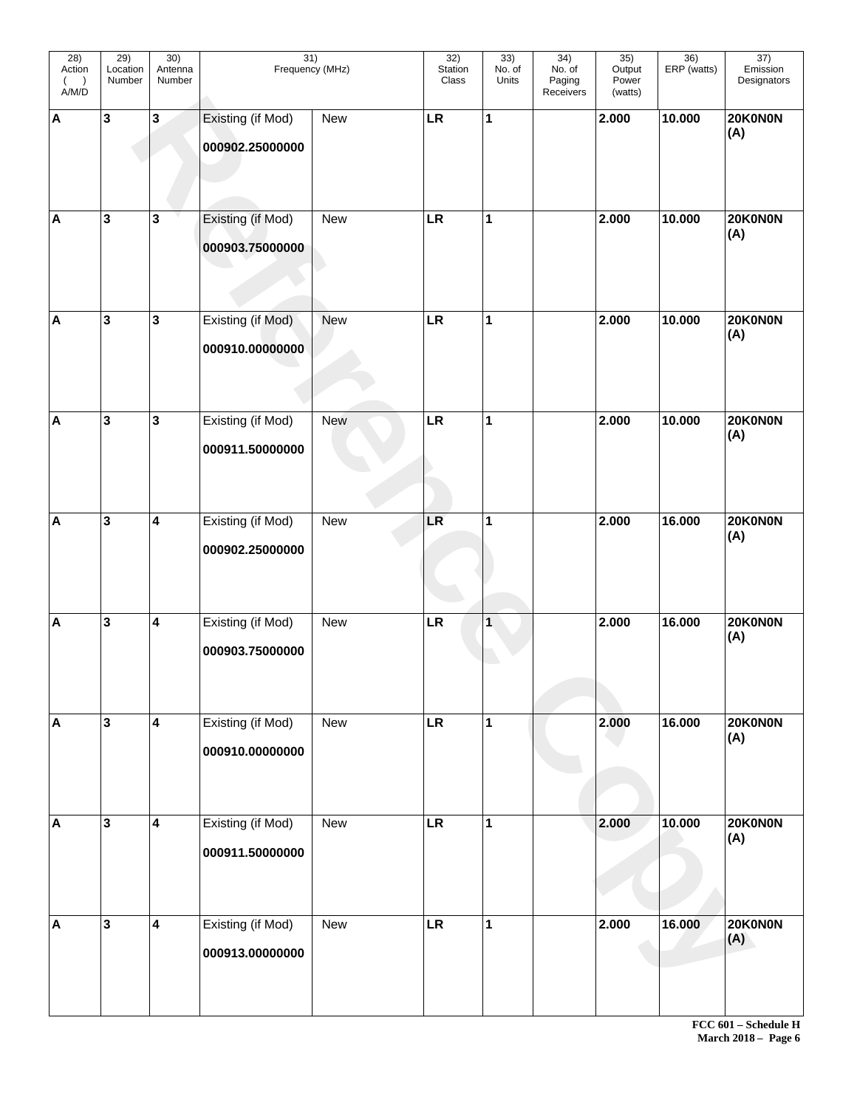| 28)<br>Action<br>$($ )<br>A/M/D | $\overline{29)}$<br>Location<br>Number | 30)<br>Antenna<br>Number | 31)<br>Frequency (MHz)               |            | 32)<br>Station<br>Class | 33)<br>No. of<br>Units | 34)<br>No. of<br>Paging<br>Receivers | 35)<br>Output<br>Power<br>(watts) | 36)<br>ERP (watts) | $\overline{37)}$<br>Emission<br>Designators |
|---------------------------------|----------------------------------------|--------------------------|--------------------------------------|------------|-------------------------|------------------------|--------------------------------------|-----------------------------------|--------------------|---------------------------------------------|
| $\boldsymbol{\mathsf{A}}$       | 3                                      | $\mathbf 3$              | Existing (if Mod)<br>000902.25000000 | New        | LR                      | 1                      |                                      | 2.000                             | 10.000             | 20K0N0N<br>(A)                              |
| $\boldsymbol{\mathsf{A}}$       | 3                                      | $\mathbf 3$              | Existing (if Mod)<br>000903.75000000 | New        | LR                      | 1                      |                                      | 2.000                             | 10.000             | 20K0N0N<br>(A)                              |
| $\boldsymbol{\mathsf{A}}$       | 3                                      | ${\bf 3}$                | Existing (if Mod)<br>000910.00000000 | New        | LR                      | 1                      |                                      | 2.000                             | 10.000             | 20K0N0N<br>(A)                              |
| $\boldsymbol{\mathsf{A}}$       | 3                                      | $\mathbf{3}$             | Existing (if Mod)<br>000911.50000000 | <b>New</b> | LR                      | $\mathbf{1}$           |                                      | 2.000                             | 10.000             | 20K0N0N<br>(A)                              |
| $\boldsymbol{\mathsf{A}}$       | 3                                      | $\overline{\mathbf{4}}$  | Existing (if Mod)<br>000902.25000000 | New        | LR                      | 1                      |                                      | 2.000                             | 16.000             | 20K0N0N<br>(A)                              |
| $\boldsymbol{\mathsf{A}}$       | 3                                      | $\overline{\mathbf{4}}$  | Existing (if Mod)<br>000903.75000000 | <b>New</b> | LR                      | 1                      |                                      | 2.000                             | 16.000             | 20K0N0N<br>(A)                              |
| $\boldsymbol{\mathsf{A}}$       | $\mathbf{3}$                           | $\overline{\mathbf{4}}$  | Existing (if Mod)<br>000910.00000000 | New        | <b>LR</b>               | $\mathbf{1}$           |                                      | 2.000                             | 16.000             | 20K0N0N<br>(A)                              |
| $\boldsymbol{\mathsf{A}}$       | $\mathbf{3}$                           | $\overline{\mathbf{4}}$  | Existing (if Mod)<br>000911.50000000 | New        | <b>LR</b>               | $\mathbf{1}$           |                                      | 2.000                             | 10.000             | 20K0N0N<br>(A)                              |
| $\boldsymbol{\mathsf{A}}$       | $\mathbf{3}$                           | $\overline{\mathbf{4}}$  | Existing (if Mod)<br>000913.00000000 | New        | <b>LR</b>               | $\mathbf{1}$           |                                      | 2.000                             | 16.000             | 20K0N0N<br>(A)                              |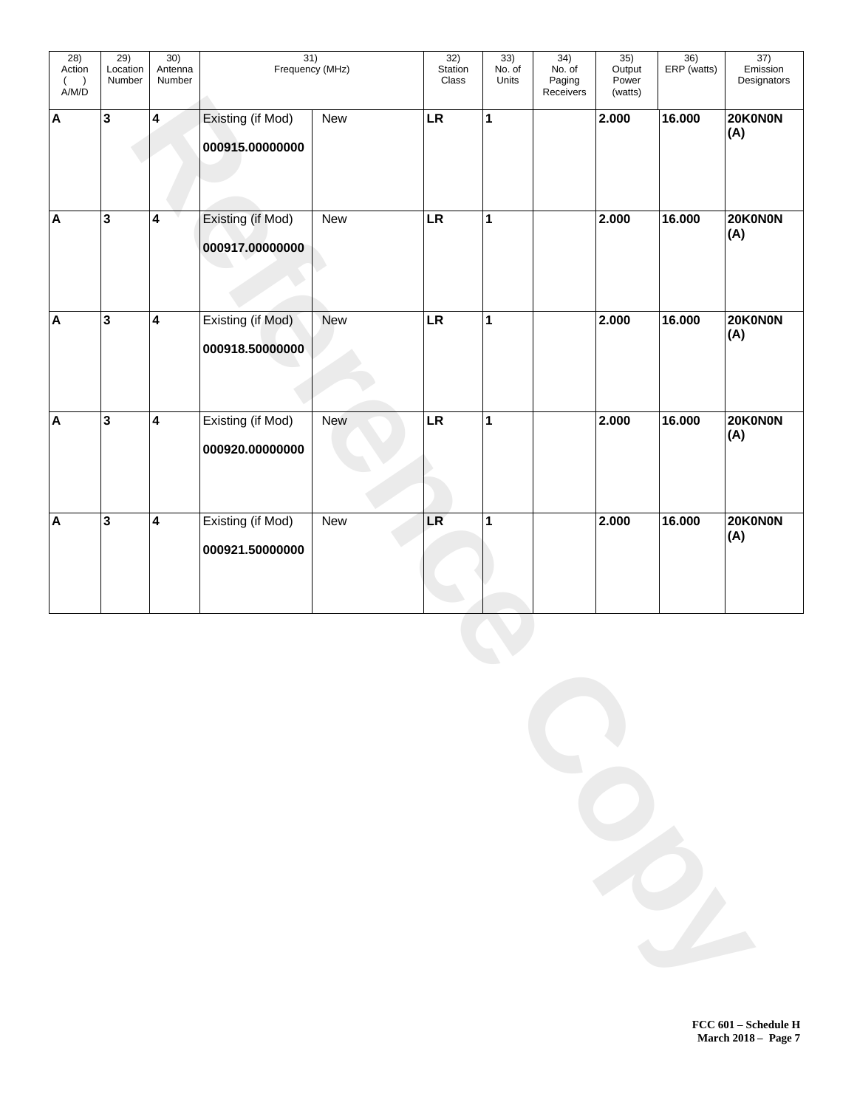| 28)<br>Action<br>$($ $)$<br>A/M/D | 29)<br>Location<br>Number | 30)<br>Antenna<br>Number | $\overline{31)}$<br>Frequency (MHz)  |            | 32)<br>Station<br>Class | 33)<br>No. of<br>Units | $\overline{34)}$<br>No. of<br>Paging<br>Receivers | 35)<br>Output<br>Power<br>(watts) | $\overline{36)}$<br>ERP (watts) | $\overline{37)}$<br>Emission<br>Designators |
|-----------------------------------|---------------------------|--------------------------|--------------------------------------|------------|-------------------------|------------------------|---------------------------------------------------|-----------------------------------|---------------------------------|---------------------------------------------|
| A                                 | $\mathbf{3}$              | $\overline{\mathbf{4}}$  | Existing (if Mod)<br>000915.00000000 | New        | LR                      | $\mathbf{1}$           |                                                   | 2.000                             | 16.000                          | 20K0N0N<br>(A)                              |
| A                                 | 3                         | $\overline{\mathbf{4}}$  | Existing (if Mod)<br>000917.00000000 | New        | LR                      | $\mathbf{1}$           |                                                   | 2.000                             | 16.000                          | 20K0N0N<br>(A)                              |
| A                                 | 3                         | $\overline{\mathbf{4}}$  | Existing (if Mod)<br>000918.50000000 | New        | LR                      | $\mathbf{1}$           |                                                   | 2.000                             | 16.000                          | 20K0N0N<br>(A)                              |
| A                                 | 3                         | $\overline{\mathbf{4}}$  | Existing (if Mod)<br>000920.00000000 | <b>New</b> | LR                      | $\mathbf{1}$           |                                                   | 2.000                             | 16.000                          | 20K0N0N<br>(A)                              |
| A                                 | 3                         | $\overline{\mathbf{4}}$  | Existing (if Mod)<br>000921.50000000 | New        | LR                      | $\mathbf{1}$           |                                                   | 2.000                             | 16.000                          | 20K0N0N<br>(A)                              |
|                                   |                           |                          |                                      |            |                         |                        |                                                   |                                   |                                 |                                             |
|                                   |                           |                          |                                      |            |                         |                        |                                                   |                                   |                                 |                                             |
|                                   |                           |                          |                                      |            |                         |                        |                                                   |                                   |                                 |                                             |